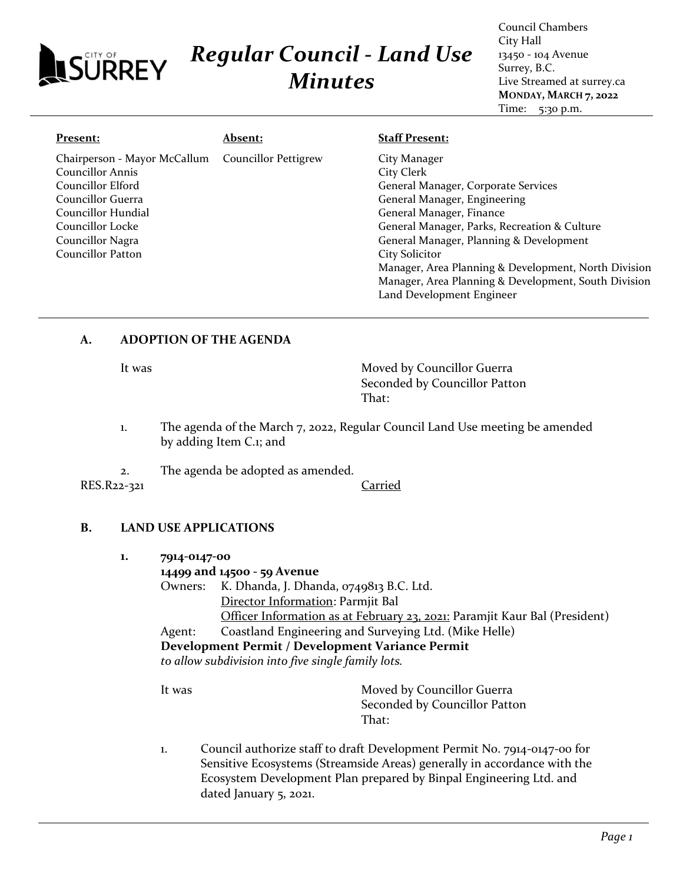| <b>ALSÜRREY</b>                                  | <b>Regular Council - Land Use</b><br><b>Minutes</b> |                                         | City Hall<br>13450 - 104 Avenue<br>Surrey, B.C.<br>Live Streamed at surrey.ca<br>MONDAY, MARCH 7, 2022<br>Time:<br>5:30 p.m. |
|--------------------------------------------------|-----------------------------------------------------|-----------------------------------------|------------------------------------------------------------------------------------------------------------------------------|
| <b>Present:</b>                                  | <u> Absent:</u>                                     | <b>Staff Present:</b>                   |                                                                                                                              |
| Chairperson - Mayor McCallum<br>Councillor Annis | <b>Councillor Pettigrew</b>                         | City Manager<br>City Clerk              |                                                                                                                              |
| Councillor Elford                                |                                                     | General Manager, Corporate Services     |                                                                                                                              |
| Councillor Guerra                                |                                                     | General Manager, Engineering            |                                                                                                                              |
| Councillor Hundial                               |                                                     | General Manager, Finance                |                                                                                                                              |
| Councillor Locke                                 |                                                     |                                         | General Manager, Parks, Recreation & Culture                                                                                 |
| Councillor Nagra                                 |                                                     | General Manager, Planning & Development |                                                                                                                              |
| Councillor Patton                                |                                                     | <b>City Solicitor</b>                   |                                                                                                                              |
|                                                  |                                                     |                                         | Manager, Area Planning & Development, North Division                                                                         |
|                                                  |                                                     |                                         | Manager, Area Planning & Development, South Division                                                                         |

## **A. ADOPTION OF THE AGENDA**

It was Moved by Councillor Guerra Seconded by Councillor Patton That:

Land Development Engineer

Council Chambers

- 1. The agenda of the March 7, 2022, Regular Council Land Use meeting be amended by adding Item C.1; and
- 2. The agenda be adopted as amended. RES.R22-321 Carried

# **B. LAND USE APPLICATIONS**

- **1. 7914-0147-00**
	- **14499 and 14500 - 59 Avenue** Owners: K. Dhanda, J. Dhanda, 0749813 B.C. Ltd. Director Information: Parmjit Bal Officer Information as at February 23, 2021: Paramjit Kaur Bal (President) Agent: Coastland Engineering and Surveying Ltd. (Mike Helle) **Development Permit / Development Variance Permit**

*to allow subdivision into five single family lots.*

It was **Moved by Councillor Guerra** Seconded by Councillor Patton That:

1. Council authorize staff to draft Development Permit No. 7914-0147-00 for Sensitive Ecosystems (Streamside Areas) generally in accordance with the Ecosystem Development Plan prepared by Binpal Engineering Ltd. and dated January 5, 2021.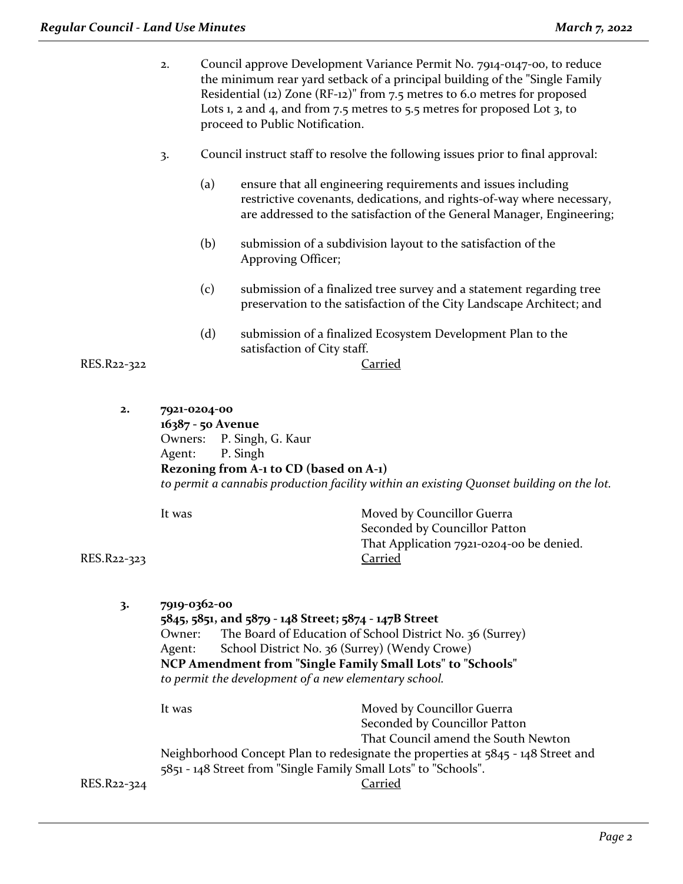- 2. Council approve Development Variance Permit No. 7914-0147-00, to reduce the minimum rear yard setback of a principal building of the "Single Family Residential (12) Zone (RF-12)" from 7.5 metres to 6.0 metres for proposed Lots 1, 2 and 4, and from 7.5 metres to 5.5 metres for proposed Lot 3, to proceed to Public Notification.
- 3. Council instruct staff to resolve the following issues prior to final approval:
	- (a) ensure that all engineering requirements and issues including restrictive covenants, dedications, and rights-of-way where necessary, are addressed to the satisfaction of the General Manager, Engineering;
	- (b) submission of a subdivision layout to the satisfaction of the Approving Officer;
	- (c) submission of a finalized tree survey and a statement regarding tree preservation to the satisfaction of the City Landscape Architect; and
	- (d) submission of a finalized Ecosystem Development Plan to the satisfaction of City staff.

RES.R22-322 Carried

**2. 7921-0204-00 16387 - 50 Avenue** Owners: P. Singh, G. Kaur Agent: P. Singh **Rezoning from A-1 to CD (based on A-1)** *to permit a cannabis production facility within an existing Quonset building on the lot.*

RES.R22-323 Carried

It was **Moved by Councillor Guerra** Seconded by Councillor Patton That Application 7921-0204-00 be denied.

**3. 7919-0362-00 5845, 5851, and 5879 - 148 Street; 5874 - 147B Street** Owner: The Board of Education of School District No. 36 (Surrey) Agent: School District No. 36 (Surrey) (Wendy Crowe) **NCP Amendment from "Single Family Small Lots" to "Schools"** *to permit the development of a new elementary school.*  It was Moved by Councillor Guerra Seconded by Councillor Patton That Council amend the South Newton Neighborhood Concept Plan to redesignate the properties at 5845 - 148 Street and 5851 - 148 Street from "Single Family Small Lots" to "Schools". RES.R22-324 Carried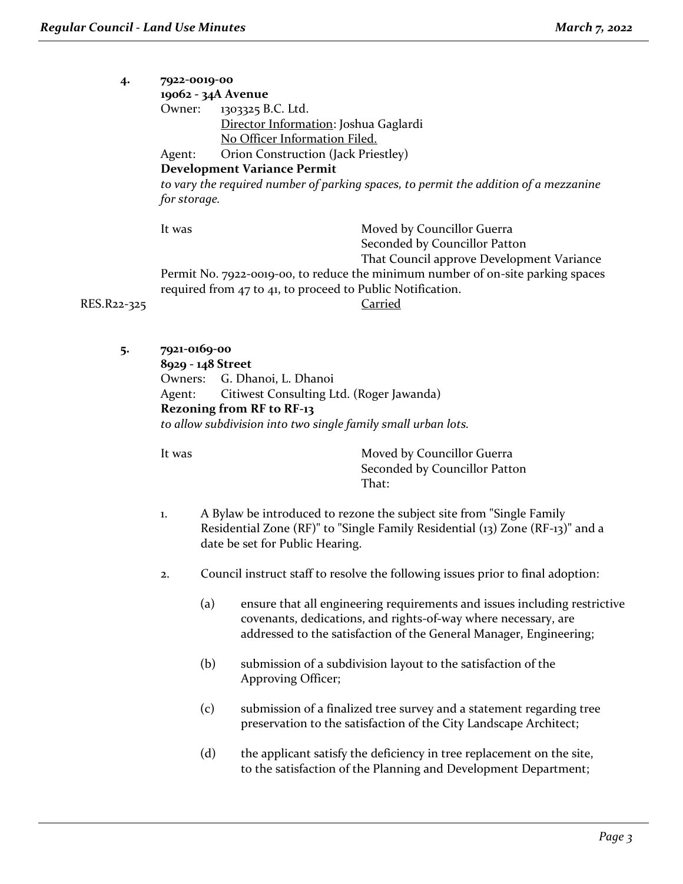| 4.    | 7922-0019-00                                                                         |                                                            |                                           |  |
|-------|--------------------------------------------------------------------------------------|------------------------------------------------------------|-------------------------------------------|--|
|       |                                                                                      | 19062 - 34A Avenue                                         |                                           |  |
|       | Owner:                                                                               | 1303325 B.C. Ltd.                                          |                                           |  |
|       |                                                                                      | Director Information: Joshua Gaglardi                      |                                           |  |
|       |                                                                                      | No Officer Information Filed.                              |                                           |  |
|       | Agent:                                                                               | Orion Construction (Jack Priestley)                        |                                           |  |
|       | <b>Development Variance Permit</b>                                                   |                                                            |                                           |  |
|       | to vary the required number of parking spaces, to permit the addition of a mezzanine |                                                            |                                           |  |
|       | for storage.                                                                         |                                                            |                                           |  |
|       | It was                                                                               |                                                            | Moved by Councillor Guerra                |  |
|       |                                                                                      |                                                            | Seconded by Councillor Patton             |  |
|       |                                                                                      |                                                            | That Council approve Development Variance |  |
|       | Permit No. 7922-0019-00, to reduce the minimum number of on-site parking spaces      |                                                            |                                           |  |
|       |                                                                                      | required from 47 to 41, to proceed to Public Notification. |                                           |  |
| 2-325 |                                                                                      |                                                            | Carried                                   |  |

RES.R22-325

**5. 7921-0169-00**

**8929 - 148 Street** Owners: G. Dhanoi, L. Dhanoi Agent: Citiwest Consulting Ltd. (Roger Jawanda) **Rezoning from RF to RF-13** *to allow subdivision into two single family small urban lots.*

It was **Moved by Councillor Guerra** Seconded by Councillor Patton That:

- 1. A Bylaw be introduced to rezone the subject site from "Single Family Residential Zone (RF)" to "Single Family Residential (13) Zone (RF-13)" and a date be set for Public Hearing.
- 2. Council instruct staff to resolve the following issues prior to final adoption:
	- (a) ensure that all engineering requirements and issues including restrictive covenants, dedications, and rights-of-way where necessary, are addressed to the satisfaction of the General Manager, Engineering;
	- (b) submission of a subdivision layout to the satisfaction of the Approving Officer;
	- (c) submission of a finalized tree survey and a statement regarding tree preservation to the satisfaction of the City Landscape Architect;
	- (d) the applicant satisfy the deficiency in tree replacement on the site, to the satisfaction of the Planning and Development Department;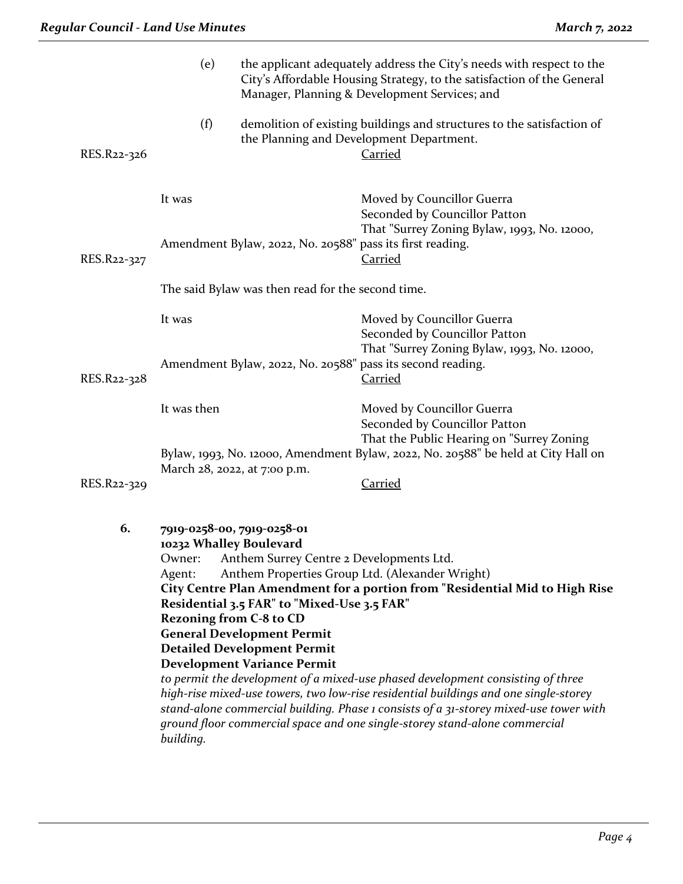|             | (e)                                                                                                                                                                                                                                                                                                                                                                                                                                                                                                                                                                                                                                                                                                                                                                                                                   |                                                           | the applicant adequately address the City's needs with respect to the<br>City's Affordable Housing Strategy, to the satisfaction of the General<br>Manager, Planning & Development Services; and |
|-------------|-----------------------------------------------------------------------------------------------------------------------------------------------------------------------------------------------------------------------------------------------------------------------------------------------------------------------------------------------------------------------------------------------------------------------------------------------------------------------------------------------------------------------------------------------------------------------------------------------------------------------------------------------------------------------------------------------------------------------------------------------------------------------------------------------------------------------|-----------------------------------------------------------|--------------------------------------------------------------------------------------------------------------------------------------------------------------------------------------------------|
| RES.R22-326 | (f)                                                                                                                                                                                                                                                                                                                                                                                                                                                                                                                                                                                                                                                                                                                                                                                                                   |                                                           | demolition of existing buildings and structures to the satisfaction of<br>the Planning and Development Department.<br><b>Carried</b>                                                             |
|             | It was                                                                                                                                                                                                                                                                                                                                                                                                                                                                                                                                                                                                                                                                                                                                                                                                                |                                                           | Moved by Councillor Guerra<br>Seconded by Councillor Patton                                                                                                                                      |
| RES.R22-327 |                                                                                                                                                                                                                                                                                                                                                                                                                                                                                                                                                                                                                                                                                                                                                                                                                       | Amendment Bylaw, 2022, No. 20588" pass its first reading. | That "Surrey Zoning Bylaw, 1993, No. 12000,<br><b>Carried</b>                                                                                                                                    |
|             |                                                                                                                                                                                                                                                                                                                                                                                                                                                                                                                                                                                                                                                                                                                                                                                                                       | The said Bylaw was then read for the second time.         |                                                                                                                                                                                                  |
|             | It was                                                                                                                                                                                                                                                                                                                                                                                                                                                                                                                                                                                                                                                                                                                                                                                                                |                                                           | Moved by Councillor Guerra<br>Seconded by Councillor Patton<br>That "Surrey Zoning Bylaw, 1993, No. 12000,                                                                                       |
| RES.R22-328 | Amendment Bylaw, 2022, No. 20588" pass its second reading.                                                                                                                                                                                                                                                                                                                                                                                                                                                                                                                                                                                                                                                                                                                                                            |                                                           | <b>Carried</b>                                                                                                                                                                                   |
|             | It was then                                                                                                                                                                                                                                                                                                                                                                                                                                                                                                                                                                                                                                                                                                                                                                                                           |                                                           | Moved by Councillor Guerra<br>Seconded by Councillor Patton<br>That the Public Hearing on "Surrey Zoning                                                                                         |
|             |                                                                                                                                                                                                                                                                                                                                                                                                                                                                                                                                                                                                                                                                                                                                                                                                                       | March 28, 2022, at 7:00 p.m.                              | Bylaw, 1993, No. 12000, Amendment Bylaw, 2022, No. 20588" be held at City Hall on                                                                                                                |
| RES.R22-329 |                                                                                                                                                                                                                                                                                                                                                                                                                                                                                                                                                                                                                                                                                                                                                                                                                       |                                                           | <b>Carried</b>                                                                                                                                                                                   |
| 6.          | 7919-0258-00, 7919-0258-01<br>10232 Whalley Boulevard<br>Owner: Anthem Surrey Centre 2 Developments Ltd.<br>Anthem Properties Group Ltd. (Alexander Wright)<br>Agent:<br>City Centre Plan Amendment for a portion from "Residential Mid to High Rise<br>Residential 3.5 FAR" to "Mixed-Use 3.5 FAR"<br><b>Rezoning from C-8 to CD</b><br><b>General Development Permit</b><br><b>Detailed Development Permit</b><br><b>Development Variance Permit</b><br>to permit the development of a mixed-use phased development consisting of three<br>high-rise mixed-use towers, two low-rise residential buildings and one single-storey<br>stand-alone commercial building. Phase 1 consists of a 31-storey mixed-use tower with<br>ground floor commercial space and one single-storey stand-alone commercial<br>building. |                                                           |                                                                                                                                                                                                  |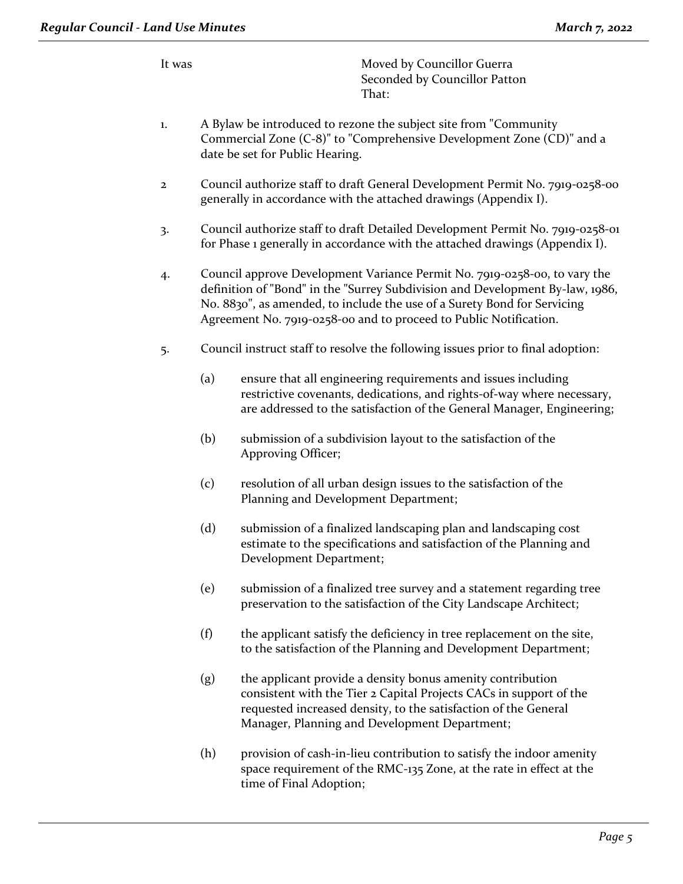It was Moved by Councillor Guerra Seconded by Councillor Patton That:

- 1. A Bylaw be introduced to rezone the subject site from "Community Commercial Zone (C-8)" to "Comprehensive Development Zone (CD)" and a date be set for Public Hearing.
- 2 Council authorize staff to draft General Development Permit No. 7919-0258-00 generally in accordance with the attached drawings (Appendix I).
- 3. Council authorize staff to draft Detailed Development Permit No. 7919-0258-01 for Phase 1 generally in accordance with the attached drawings (Appendix I).
- 4. Council approve Development Variance Permit No. 7919-0258-00, to vary the definition of "Bond" in the "Surrey Subdivision and Development By-law, 1986, No. 8830", as amended, to include the use of a Surety Bond for Servicing Agreement No. 7919-0258-00 and to proceed to Public Notification.
- 5. Council instruct staff to resolve the following issues prior to final adoption:
	- (a) ensure that all engineering requirements and issues including restrictive covenants, dedications, and rights-of-way where necessary, are addressed to the satisfaction of the General Manager, Engineering;
	- (b) submission of a subdivision layout to the satisfaction of the Approving Officer;
	- (c) resolution of all urban design issues to the satisfaction of the Planning and Development Department;
	- (d) submission of a finalized landscaping plan and landscaping cost estimate to the specifications and satisfaction of the Planning and Development Department;
	- (e) submission of a finalized tree survey and a statement regarding tree preservation to the satisfaction of the City Landscape Architect;
	- (f) the applicant satisfy the deficiency in tree replacement on the site, to the satisfaction of the Planning and Development Department;
	- (g) the applicant provide a density bonus amenity contribution consistent with the Tier 2 Capital Projects CACs in support of the requested increased density, to the satisfaction of the General Manager, Planning and Development Department;
	- (h) provision of cash-in-lieu contribution to satisfy the indoor amenity space requirement of the RMC-135 Zone, at the rate in effect at the time of Final Adoption;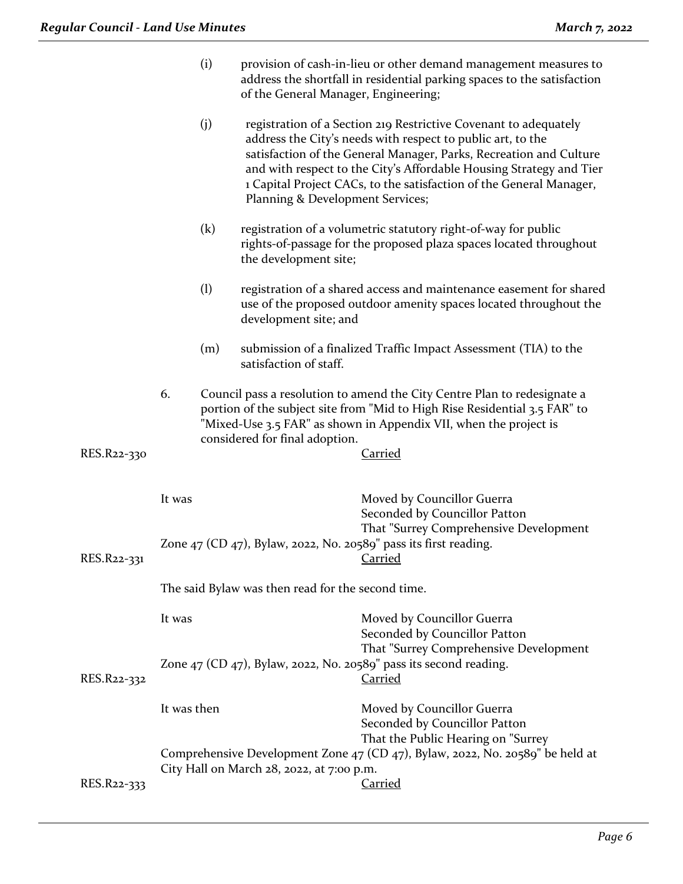| registration of a Section 219 Restrictive Covenant to adequately<br>satisfaction of the General Manager, Parks, Recreation and Culture<br>and with respect to the City's Affordable Housing Strategy and Tier<br>1 Capital Project CACs, to the satisfaction of the General Manager, |  |  |
|--------------------------------------------------------------------------------------------------------------------------------------------------------------------------------------------------------------------------------------------------------------------------------------|--|--|
| registration of a volumetric statutory right-of-way for public<br>rights-of-passage for the proposed plaza spaces located throughout<br>the development site;                                                                                                                        |  |  |
| registration of a shared access and maintenance easement for shared<br>use of the proposed outdoor amenity spaces located throughout the                                                                                                                                             |  |  |
| submission of a finalized Traffic Impact Assessment (TIA) to the                                                                                                                                                                                                                     |  |  |
| Council pass a resolution to amend the City Centre Plan to redesignate a<br>portion of the subject site from "Mid to High Rise Residential 3.5 FAR" to                                                                                                                               |  |  |
|                                                                                                                                                                                                                                                                                      |  |  |
| That "Surrey Comprehensive Development                                                                                                                                                                                                                                               |  |  |
|                                                                                                                                                                                                                                                                                      |  |  |
|                                                                                                                                                                                                                                                                                      |  |  |
| That "Surrey Comprehensive Development                                                                                                                                                                                                                                               |  |  |
|                                                                                                                                                                                                                                                                                      |  |  |
|                                                                                                                                                                                                                                                                                      |  |  |
| Comprehensive Development Zone 47 (CD 47), Bylaw, 2022, No. 20589" be held at                                                                                                                                                                                                        |  |  |
| "Mixed-Use 3.5 FAR" as shown in Appendix VII, when the project is                                                                                                                                                                                                                    |  |  |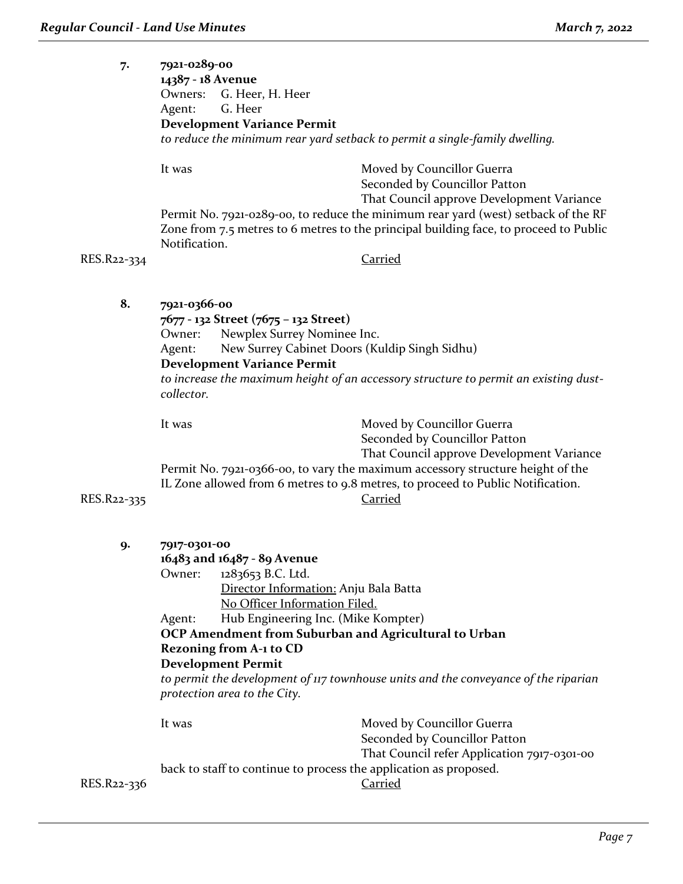| 7.          | 7921-0289-00<br>14387 - 18 Avenue<br>G. Heer, H. Heer<br>Owners:<br>G. Heer<br>Agent:<br><b>Development Variance Permit</b><br>to reduce the minimum rear yard setback to permit a single-family dwelling.                                                                                                                                                    |                                                                                                                                                                                                                                                                                                          |
|-------------|---------------------------------------------------------------------------------------------------------------------------------------------------------------------------------------------------------------------------------------------------------------------------------------------------------------------------------------------------------------|----------------------------------------------------------------------------------------------------------------------------------------------------------------------------------------------------------------------------------------------------------------------------------------------------------|
| RES.R22-334 | It was<br>Notification.                                                                                                                                                                                                                                                                                                                                       | Moved by Councillor Guerra<br>Seconded by Councillor Patton<br>That Council approve Development Variance<br>Permit No. 7921-0289-00, to reduce the minimum rear yard (west) setback of the RF<br>Zone from 7.5 metres to 6 metres to the principal building face, to proceed to Public<br><b>Carried</b> |
| 8.          | 7921-0366-00<br>7677 - 132 Street (7675 - 132 Street)<br>Newplex Surrey Nominee Inc.<br>Owner:<br>New Surrey Cabinet Doors (Kuldip Singh Sidhu)<br>Agent:<br><b>Development Variance Permit</b><br>collector.                                                                                                                                                 | to increase the maximum height of an accessory structure to permit an existing dust-                                                                                                                                                                                                                     |
| RES.R22-335 | It was                                                                                                                                                                                                                                                                                                                                                        | Moved by Councillor Guerra<br>Seconded by Councillor Patton<br>That Council approve Development Variance<br>Permit No. 7921-0366-00, to vary the maximum accessory structure height of the<br>IL Zone allowed from 6 metres to 9.8 metres, to proceed to Public Notification.<br>Carried                 |
| 9.          | 7917-0301-00<br>16483 and 16487 - 89 Avenue<br>1283653 B.C. Ltd.<br>Owner:<br>Director Information: Anju Bala Batta<br>No Officer Information Filed.<br>Hub Engineering Inc. (Mike Kompter)<br>Agent:<br>OCP Amendment from Suburban and Agricultural to Urban<br><b>Rezoning from A-1 to CD</b><br><b>Development Permit</b><br>protection area to the City. | to permit the development of $\pi$ townhouse units and the conveyance of the riparian                                                                                                                                                                                                                    |
| RES.R22-336 | It was<br>back to staff to continue to process the application as proposed.                                                                                                                                                                                                                                                                                   | Moved by Councillor Guerra<br>Seconded by Councillor Patton<br>That Council refer Application 7917-0301-00<br><b>Carried</b>                                                                                                                                                                             |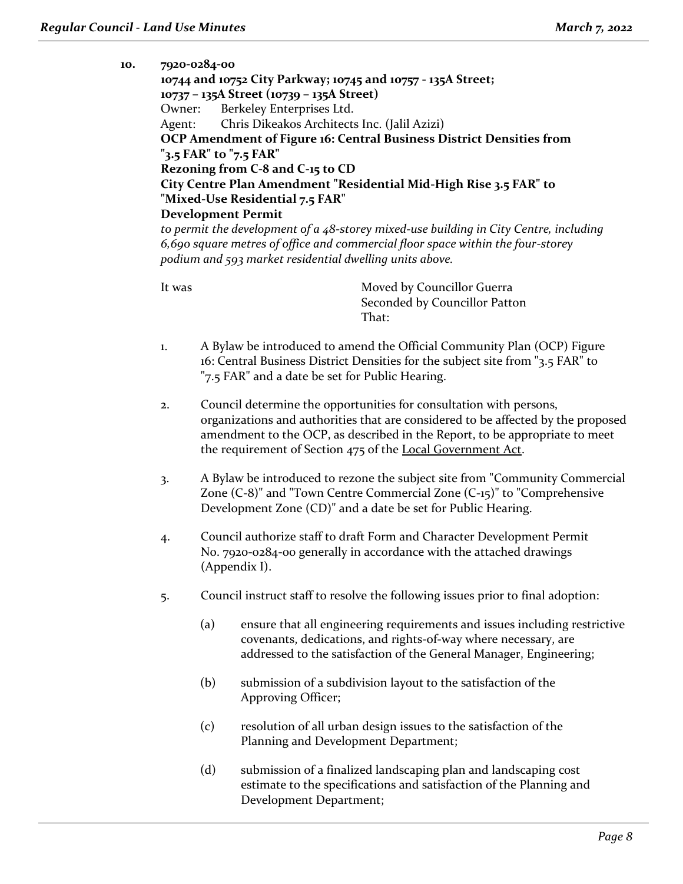| 10. | 7920-0284-00 |                                                         |                                                                                          |
|-----|--------------|---------------------------------------------------------|------------------------------------------------------------------------------------------|
|     |              |                                                         | 10744 and 10752 City Parkway; 10745 and 10757 - 135A Street;                             |
|     |              | 10737 - 135A Street (10739 - 135A Street)               |                                                                                          |
|     |              | Owner: Berkeley Enterprises Ltd.                        |                                                                                          |
|     | Agent:       | Chris Dikeakos Architects Inc. (Jalil Azizi)            |                                                                                          |
|     |              |                                                         | OCP Amendment of Figure 16: Central Business District Densities from                     |
|     |              | "3.5 FAR" to "7.5 FAR"                                  |                                                                                          |
|     |              | Rezoning from C-8 and C-15 to CD                        |                                                                                          |
|     |              |                                                         | City Centre Plan Amendment "Residential Mid-High Rise 3.5 FAR" to                        |
|     |              | "Mixed-Use Residential 7.5 FAR"                         |                                                                                          |
|     |              | <b>Development Permit</b>                               |                                                                                          |
|     |              |                                                         | to permit the development of a $48$ -storey mixed-use building in City Centre, including |
|     |              |                                                         | 6,690 square metres of office and commercial floor space within the four-storey          |
|     |              | podium and 593 market residential dwelling units above. |                                                                                          |
|     |              |                                                         |                                                                                          |
|     | It was       |                                                         | Moved by Councillor Guerra                                                               |
|     |              |                                                         | Seconded by Councillor Patton                                                            |
|     |              |                                                         | That:                                                                                    |
|     |              |                                                         |                                                                                          |
|     |              |                                                         | $\mathbf{r}$ n1 $(\bigcap \mathbf{r})$ n<br>$1.71 \cdot 1.1 \cdot 1.1.001 \cdot 1.001$   |

- 1. A Bylaw be introduced to amend the Official Community Plan (OCP) Figure 16: Central Business District Densities for the subject site from "3.5 FAR" to "7.5 FAR" and a date be set for Public Hearing.
- 2. Council determine the opportunities for consultation with persons, organizations and authorities that are considered to be affected by the proposed amendment to the OCP, as described in the Report, to be appropriate to meet the requirement of Section 475 of the Local Government Act.
- 3. A Bylaw be introduced to rezone the subject site from "Community Commercial Zone (C-8)" and "Town Centre Commercial Zone (C-15)" to "Comprehensive Development Zone (CD)" and a date be set for Public Hearing.
- 4. Council authorize staff to draft Form and Character Development Permit No. 7920-0284-00 generally in accordance with the attached drawings (Appendix I).
- 5. Council instruct staff to resolve the following issues prior to final adoption:
	- (a) ensure that all engineering requirements and issues including restrictive covenants, dedications, and rights-of-way where necessary, are addressed to the satisfaction of the General Manager, Engineering;
	- (b) submission of a subdivision layout to the satisfaction of the Approving Officer;
	- (c) resolution of all urban design issues to the satisfaction of the Planning and Development Department;
	- (d) submission of a finalized landscaping plan and landscaping cost estimate to the specifications and satisfaction of the Planning and Development Department;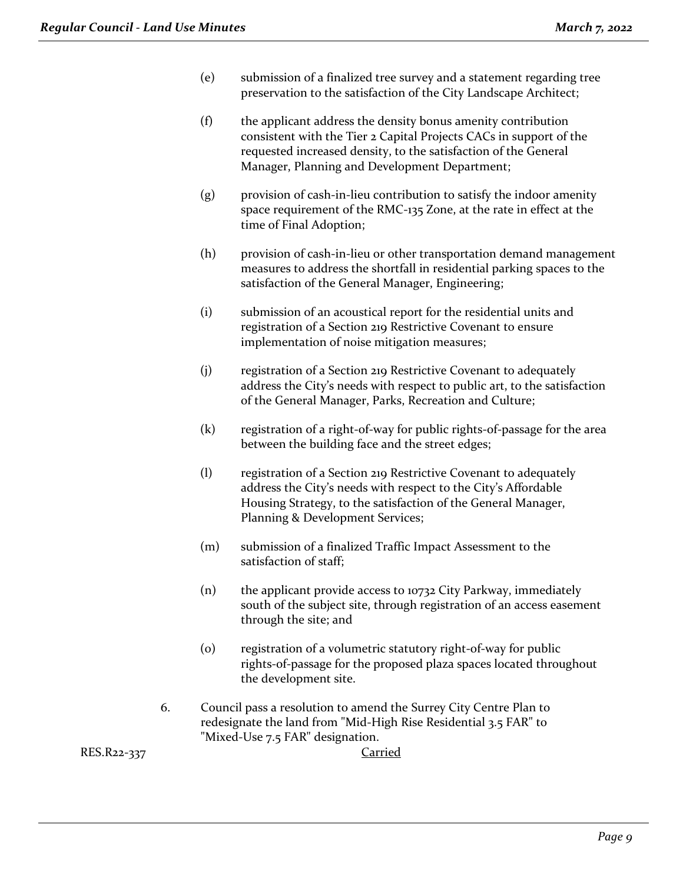- (e) submission of a finalized tree survey and a statement regarding tree preservation to the satisfaction of the City Landscape Architect;
- (f) the applicant address the density bonus amenity contribution consistent with the Tier 2 Capital Projects CACs in support of the requested increased density, to the satisfaction of the General Manager, Planning and Development Department;
- (g) provision of cash-in-lieu contribution to satisfy the indoor amenity space requirement of the RMC-135 Zone, at the rate in effect at the time of Final Adoption;
- (h) provision of cash-in-lieu or other transportation demand management measures to address the shortfall in residential parking spaces to the satisfaction of the General Manager, Engineering;
- (i) submission of an acoustical report for the residential units and registration of a Section 219 Restrictive Covenant to ensure implementation of noise mitigation measures;
- (j) registration of a Section 219 Restrictive Covenant to adequately address the City's needs with respect to public art, to the satisfaction of the General Manager, Parks, Recreation and Culture;
- (k) registration of a right-of-way for public rights-of-passage for the area between the building face and the street edges;
- (l) registration of a Section 219 Restrictive Covenant to adequately address the City's needs with respect to the City's Affordable Housing Strategy, to the satisfaction of the General Manager, Planning & Development Services;
- (m) submission of a finalized Traffic Impact Assessment to the satisfaction of staff;
- (n) the applicant provide access to 10732 City Parkway, immediately south of the subject site, through registration of an access easement through the site; and
- (0) registration of a volumetric statutory right-of-way for public rights-of-passage for the proposed plaza spaces located throughout the development site.
- 6. Council pass a resolution to amend the Surrey City Centre Plan to redesignate the land from "Mid-High Rise Residential 3.5 FAR" to "Mixed-Use 7.5 FAR" designation.

RES.R22-337 Carried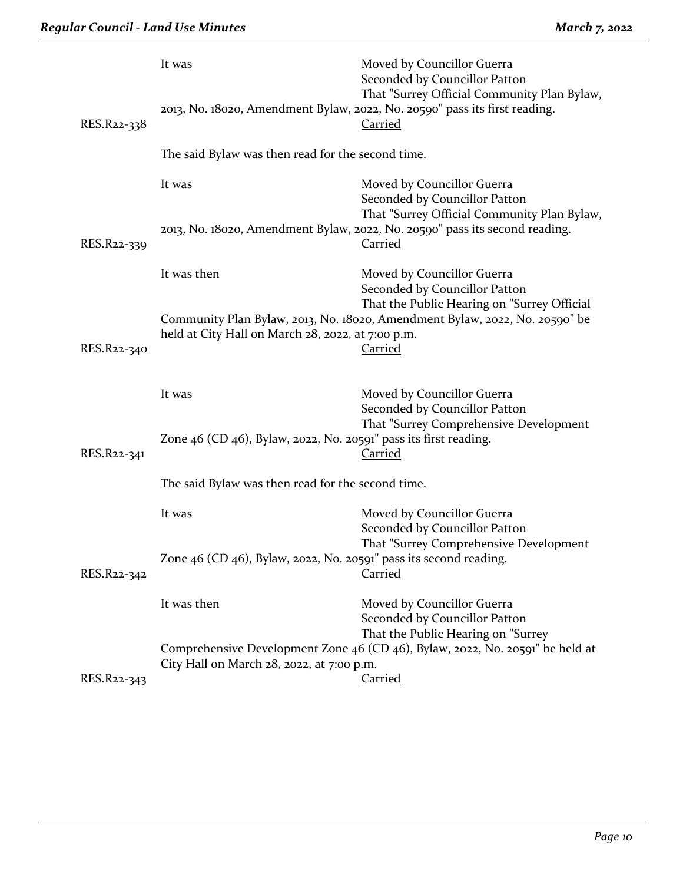| RES.R22-338 | It was                                                                 | Moved by Councillor Guerra<br>Seconded by Councillor Patton<br>That "Surrey Official Community Plan Bylaw,<br>2013, No. 18020, Amendment Bylaw, 2022, No. 20590" pass its first reading.<br><b>Carried</b> |  |
|-------------|------------------------------------------------------------------------|------------------------------------------------------------------------------------------------------------------------------------------------------------------------------------------------------------|--|
|             | The said Bylaw was then read for the second time.                      |                                                                                                                                                                                                            |  |
|             | It was                                                                 | Moved by Councillor Guerra<br>Seconded by Councillor Patton                                                                                                                                                |  |
| RES.R22-339 |                                                                        | That "Surrey Official Community Plan Bylaw,<br>2013, No. 18020, Amendment Bylaw, 2022, No. 20590" pass its second reading.<br><b>Carried</b>                                                               |  |
|             | It was then                                                            | Moved by Councillor Guerra<br>Seconded by Councillor Patton                                                                                                                                                |  |
| RES.R22-340 | held at City Hall on March 28, 2022, at 7:00 p.m.                      | That the Public Hearing on "Surrey Official<br>Community Plan Bylaw, 2013, No. 18020, Amendment Bylaw, 2022, No. 20590" be<br>Carried                                                                      |  |
|             | It was                                                                 | Moved by Councillor Guerra<br>Seconded by Councillor Patton                                                                                                                                                |  |
| RES.R22-341 | Zone 46 (CD 46), Bylaw, 2022, No. 20591" pass its first reading.       | That "Surrey Comprehensive Development<br><b>Carried</b>                                                                                                                                                   |  |
|             | The said Bylaw was then read for the second time.                      |                                                                                                                                                                                                            |  |
|             | It was                                                                 | Moved by Councillor Guerra<br>Seconded by Councillor Patton                                                                                                                                                |  |
| RES.R22-342 | Zone $46$ (CD $46$ ), Bylaw, 2022, No. 20591" pass its second reading. | That "Surrey Comprehensive Development<br><b>Carried</b>                                                                                                                                                   |  |
|             | It was then                                                            | Moved by Councillor Guerra<br>Seconded by Councillor Patton                                                                                                                                                |  |
| RES.R22-343 | City Hall on March 28, 2022, at 7:00 p.m.                              | That the Public Hearing on "Surrey<br>Comprehensive Development Zone 46 (CD 46), Bylaw, 2022, No. 20591" be held at<br>Carried                                                                             |  |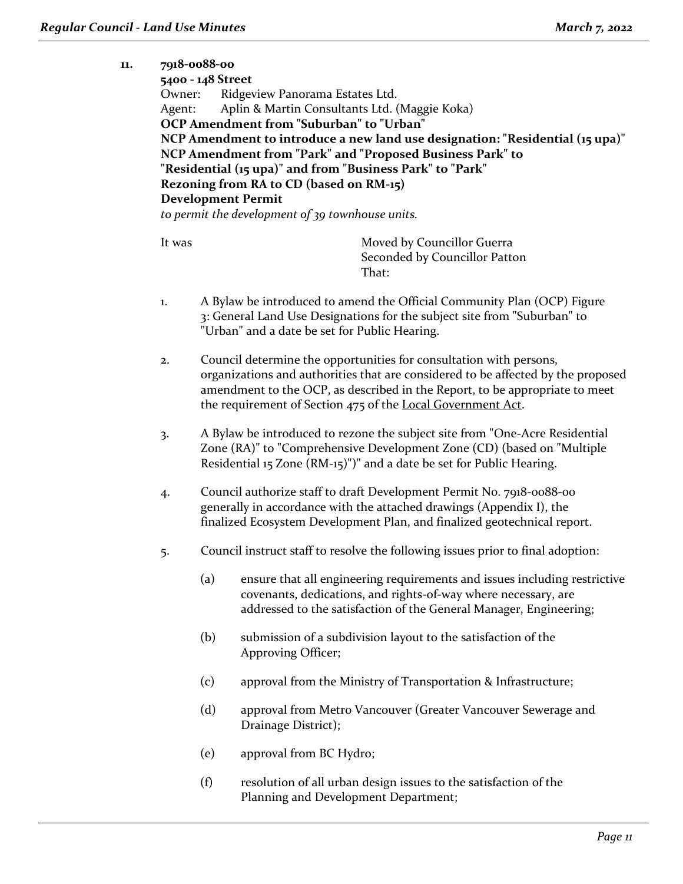**11. 7918-0088-00**

| Owner:<br>Agent: | 7918-0088-00<br>5400 - 148 Street                                                                                                                                                                                                                                                                    | Ridgeview Panorama Estates Ltd.<br>Aplin & Martin Consultants Ltd. (Maggie Koka)<br><b>OCP Amendment from "Suburban" to "Urban"</b><br>NCP Amendment to introduce a new land use designation: "Residential (15 upa)"<br>NCP Amendment from "Park" and "Proposed Business Park" to<br>"Residential (15 upa)" and from "Business Park" to "Park"<br>Rezoning from RA to CD (based on RM-15)<br><b>Development Permit</b><br>to permit the development of 39 townhouse units. |  |
|------------------|------------------------------------------------------------------------------------------------------------------------------------------------------------------------------------------------------------------------------------------------------------------------------------------------------|----------------------------------------------------------------------------------------------------------------------------------------------------------------------------------------------------------------------------------------------------------------------------------------------------------------------------------------------------------------------------------------------------------------------------------------------------------------------------|--|
| It was           |                                                                                                                                                                                                                                                                                                      | Moved by Councillor Guerra<br>Seconded by Councillor Patton<br>That:                                                                                                                                                                                                                                                                                                                                                                                                       |  |
| 1.               |                                                                                                                                                                                                                                                                                                      | A Bylaw be introduced to amend the Official Community Plan (OCP) Figure<br>3: General Land Use Designations for the subject site from "Suburban" to<br>"Urban" and a date be set for Public Hearing.                                                                                                                                                                                                                                                                       |  |
| 2.               | Council determine the opportunities for consultation with persons,<br>organizations and authorities that are considered to be affected by the proposed<br>amendment to the OCP, as described in the Report, to be appropriate to meet<br>the requirement of Section 475 of the Local Government Act. |                                                                                                                                                                                                                                                                                                                                                                                                                                                                            |  |
| 3.               | A Bylaw be introduced to rezone the subject site from "One-Acre Residential<br>Zone (RA)" to "Comprehensive Development Zone (CD) (based on "Multiple<br>Residential 15 Zone (RM-15)")" and a date be set for Public Hearing.                                                                        |                                                                                                                                                                                                                                                                                                                                                                                                                                                                            |  |
| 4.               | Council authorize staff to draft Development Permit No. 7918-0088-00<br>generally in accordance with the attached drawings (Appendix I), the<br>finalized Ecosystem Development Plan, and finalized geotechnical report.                                                                             |                                                                                                                                                                                                                                                                                                                                                                                                                                                                            |  |
| 5.               |                                                                                                                                                                                                                                                                                                      | Council instruct staff to resolve the following issues prior to final adoption:                                                                                                                                                                                                                                                                                                                                                                                            |  |
|                  | (a)                                                                                                                                                                                                                                                                                                  | ensure that all engineering requirements and issues including restrictive<br>covenants, dedications, and rights-of-way where necessary, are<br>addressed to the satisfaction of the General Manager, Engineering;                                                                                                                                                                                                                                                          |  |
|                  | (b)                                                                                                                                                                                                                                                                                                  | submission of a subdivision layout to the satisfaction of the<br>Approving Officer;                                                                                                                                                                                                                                                                                                                                                                                        |  |
|                  | (c)                                                                                                                                                                                                                                                                                                  | approval from the Ministry of Transportation & Infrastructure;                                                                                                                                                                                                                                                                                                                                                                                                             |  |
|                  | (d)                                                                                                                                                                                                                                                                                                  | approval from Metro Vancouver (Greater Vancouver Sewerage and<br>Drainage District);                                                                                                                                                                                                                                                                                                                                                                                       |  |
|                  | (e)                                                                                                                                                                                                                                                                                                  | approval from BC Hydro;                                                                                                                                                                                                                                                                                                                                                                                                                                                    |  |
|                  | (f)<br>resolution of all urban design issues to the satisfaction of the<br>Planning and Development Department;                                                                                                                                                                                      |                                                                                                                                                                                                                                                                                                                                                                                                                                                                            |  |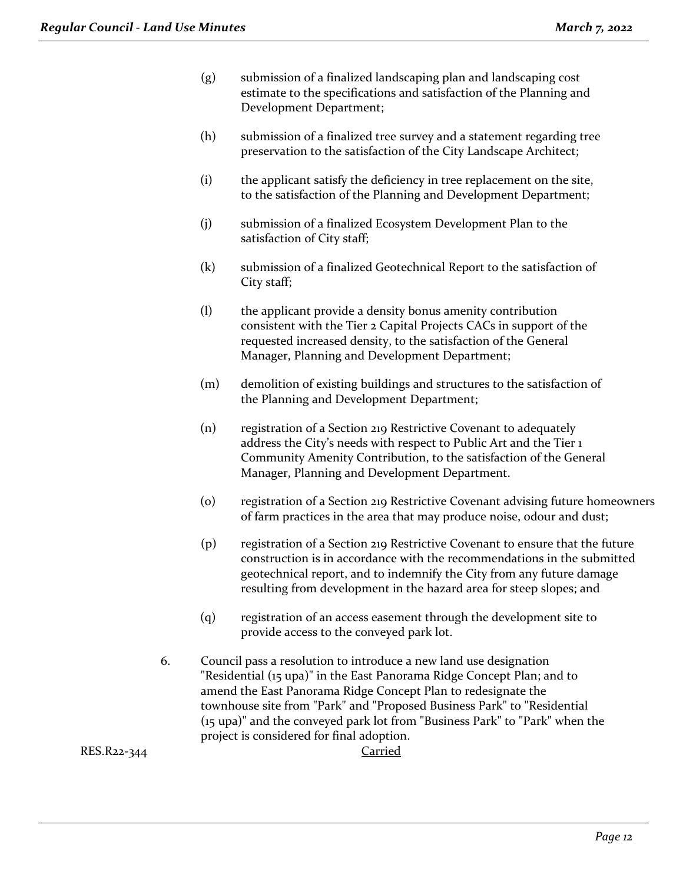- (g) submission of a finalized landscaping plan and landscaping cost estimate to the specifications and satisfaction of the Planning and Development Department;
- (h) submission of a finalized tree survey and a statement regarding tree preservation to the satisfaction of the City Landscape Architect;
- (i) the applicant satisfy the deficiency in tree replacement on the site, to the satisfaction of the Planning and Development Department;
- (j) submission of a finalized Ecosystem Development Plan to the satisfaction of City staff;
- (k) submission of a finalized Geotechnical Report to the satisfaction of City staff;
- (l) the applicant provide a density bonus amenity contribution consistent with the Tier 2 Capital Projects CACs in support of the requested increased density, to the satisfaction of the General Manager, Planning and Development Department;
- (m) demolition of existing buildings and structures to the satisfaction of the Planning and Development Department;
- (n) registration of a Section 219 Restrictive Covenant to adequately address the City's needs with respect to Public Art and the Tier 1 Community Amenity Contribution, to the satisfaction of the General Manager, Planning and Development Department.
- (o) registration of a Section 219 Restrictive Covenant advising future homeowners of farm practices in the area that may produce noise, odour and dust;
- (p) registration of a Section 219 Restrictive Covenant to ensure that the future construction is in accordance with the recommendations in the submitted geotechnical report, and to indemnify the City from any future damage resulting from development in the hazard area for steep slopes; and
- (q) registration of an access easement through the development site to provide access to the conveyed park lot.
- 6. Council pass a resolution to introduce a new land use designation "Residential (15 upa)" in the East Panorama Ridge Concept Plan; and to amend the East Panorama Ridge Concept Plan to redesignate the townhouse site from "Park" and "Proposed Business Park" to "Residential (15 upa)" and the conveyed park lot from "Business Park" to "Park" when the project is considered for final adoption.

RES.R22-344 Carried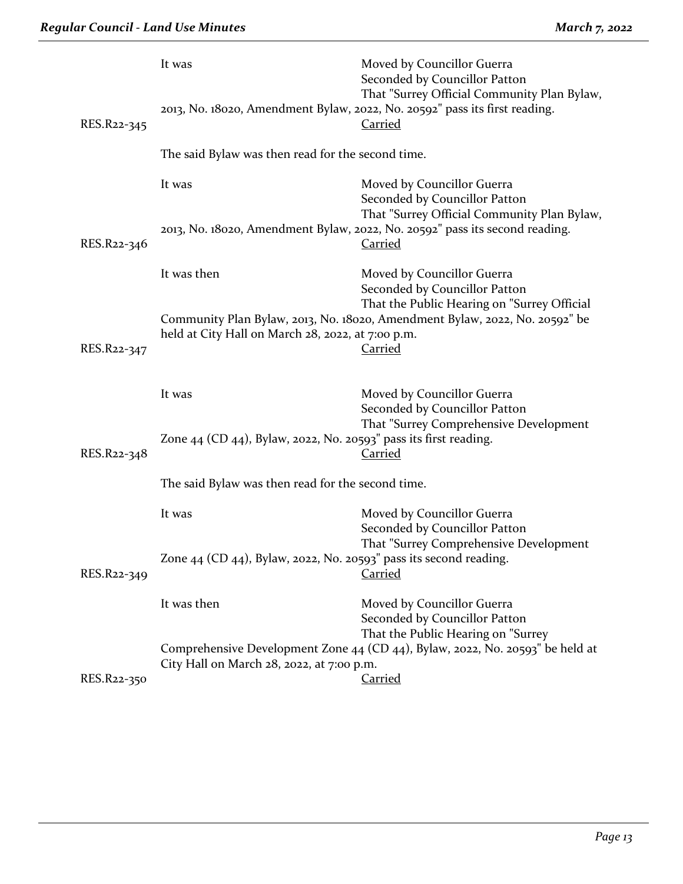| RES.R22-345 | It was                                                                                                                                                           | Moved by Councillor Guerra<br>Seconded by Councillor Patton<br>That "Surrey Official Community Plan Bylaw,<br>2013, No. 18020, Amendment Bylaw, 2022, No. 20592" pass its first reading.<br><b>Carried</b> |  |
|-------------|------------------------------------------------------------------------------------------------------------------------------------------------------------------|------------------------------------------------------------------------------------------------------------------------------------------------------------------------------------------------------------|--|
|             | The said Bylaw was then read for the second time.                                                                                                                |                                                                                                                                                                                                            |  |
|             | It was                                                                                                                                                           | Moved by Councillor Guerra<br>Seconded by Councillor Patton<br>That "Surrey Official Community Plan Bylaw,<br>2013, No. 18020, Amendment Bylaw, 2022, No. 20592" pass its second reading.                  |  |
| RES.R22-346 |                                                                                                                                                                  | <b>Carried</b>                                                                                                                                                                                             |  |
|             | It was then                                                                                                                                                      | Moved by Councillor Guerra<br>Seconded by Councillor Patton<br>That the Public Hearing on "Surrey Official                                                                                                 |  |
| RES.R22-347 | held at City Hall on March 28, 2022, at 7:00 p.m.                                                                                                                | Community Plan Bylaw, 2013, No. 18020, Amendment Bylaw, 2022, No. 20592" be<br><b>Carried</b>                                                                                                              |  |
|             | It was                                                                                                                                                           | Moved by Councillor Guerra<br>Seconded by Councillor Patton                                                                                                                                                |  |
| RES.R22-348 | Zone 44 (CD 44), Bylaw, 2022, No. 20593" pass its first reading.                                                                                                 | That "Surrey Comprehensive Development<br><b>Carried</b>                                                                                                                                                   |  |
|             | The said Bylaw was then read for the second time.                                                                                                                |                                                                                                                                                                                                            |  |
|             | It was                                                                                                                                                           | Moved by Councillor Guerra<br>Seconded by Councillor Patton                                                                                                                                                |  |
| RES.R22-349 | Zone $44$ (CD $44$ ), Bylaw, 2022, No. 20593" pass its second reading.                                                                                           | That "Surrey Comprehensive Development<br><b>Carried</b>                                                                                                                                                   |  |
|             | It was then                                                                                                                                                      | Moved by Councillor Guerra<br>Seconded by Councillor Patton                                                                                                                                                |  |
|             | That the Public Hearing on "Surrey<br>Comprehensive Development Zone 44 (CD 44), Bylaw, 2022, No. 20593" be held at<br>City Hall on March 28, 2022, at 7:00 p.m. |                                                                                                                                                                                                            |  |
| RES.R22-350 |                                                                                                                                                                  | <b>Carried</b>                                                                                                                                                                                             |  |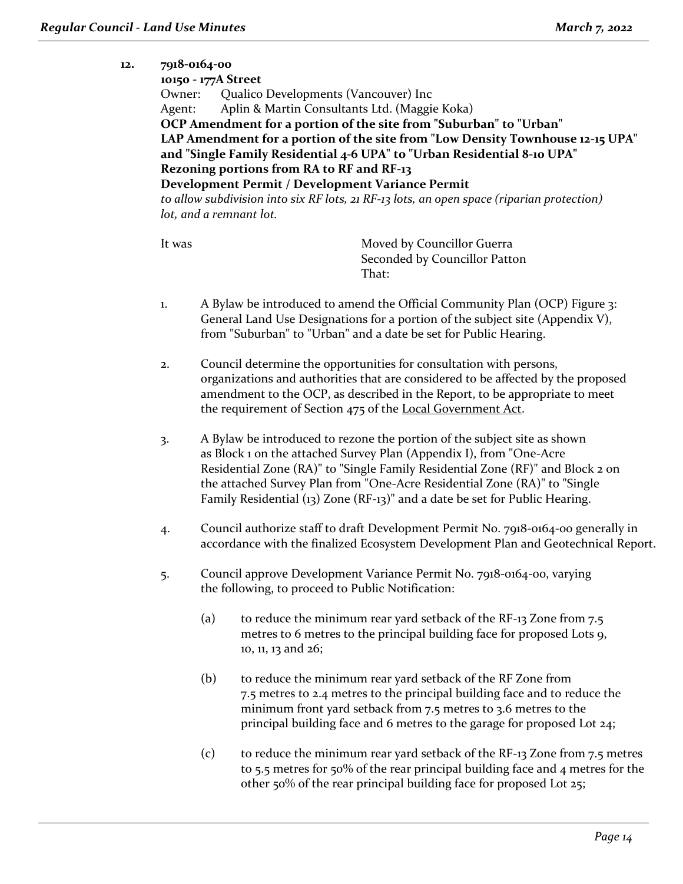## **12. 7918-0164-00**

| 10150 - 177A Street                                                                       |
|-------------------------------------------------------------------------------------------|
| Qualico Developments (Vancouver) Inc<br>Owner:                                            |
| Aplin & Martin Consultants Ltd. (Maggie Koka)<br>Agent:                                   |
| OCP Amendment for a portion of the site from "Suburban" to "Urban"                        |
| LAP Amendment for a portion of the site from "Low Density Townhouse 12-15 UPA"            |
| and "Single Family Residential 4-6 UPA" to "Urban Residential 8-10 UPA"                   |
| Rezoning portions from RA to RF and RF-13                                                 |
| Development Permit / Development Variance Permit                                          |
| to allow subdivision into six RF lots, 21 RF-13 lots, an open space (riparian protection) |
| lot, and a remnant lot.                                                                   |
|                                                                                           |

It was Moved by Councillor Guerra Seconded by Councillor Patton That:

- 1. A Bylaw be introduced to amend the Official Community Plan (OCP) Figure 3: General Land Use Designations for a portion of the subject site (Appendix V), from "Suburban" to "Urban" and a date be set for Public Hearing.
- 2. Council determine the opportunities for consultation with persons, organizations and authorities that are considered to be affected by the proposed amendment to the OCP, as described in the Report, to be appropriate to meet the requirement of Section 475 of the Local Government Act.
- 3. A Bylaw be introduced to rezone the portion of the subject site as shown as Block 1 on the attached Survey Plan (Appendix I), from "One-Acre Residential Zone (RA)" to "Single Family Residential Zone (RF)" and Block 2 on the attached Survey Plan from "One-Acre Residential Zone (RA)" to "Single Family Residential (13) Zone (RF-13)" and a date be set for Public Hearing.
- 4. Council authorize staff to draft Development Permit No. 7918-0164-00 generally in accordance with the finalized Ecosystem Development Plan and Geotechnical Report.
- 5. Council approve Development Variance Permit No. 7918-0164-00, varying the following, to proceed to Public Notification:
	- (a) to reduce the minimum rear yard setback of the RF-13 Zone from 7.5 metres to 6 metres to the principal building face for proposed Lots 9, 10, 11, 13 and 26;
	- (b) to reduce the minimum rear yard setback of the RF Zone from 7.5 metres to 2.4 metres to the principal building face and to reduce the minimum front yard setback from 7.5 metres to 3.6 metres to the principal building face and 6 metres to the garage for proposed Lot 24;
	- (c) to reduce the minimum rear yard setback of the RF-13 Zone from 7.5 metres to 5.5 metres for 50% of the rear principal building face and 4 metres for the other 50% of the rear principal building face for proposed Lot 25;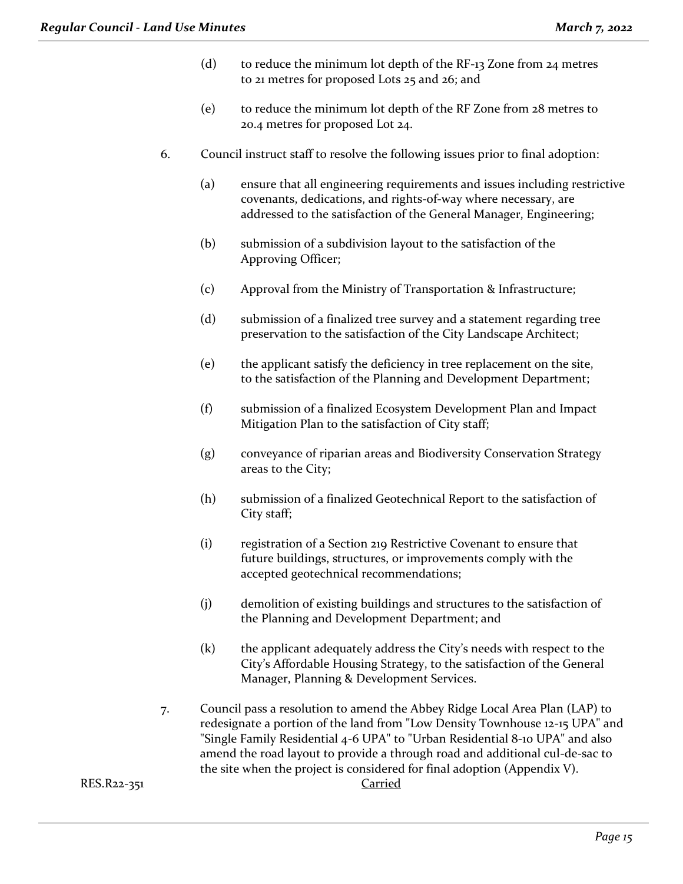- (d) to reduce the minimum lot depth of the  $RF-13$  Zone from  $24$  metres to 21 metres for proposed Lots 25 and 26; and
- (e) to reduce the minimum lot depth of the RF Zone from 28 metres to 20.4 metres for proposed Lot 24.
- 6. Council instruct staff to resolve the following issues prior to final adoption:
	- (a) ensure that all engineering requirements and issues including restrictive covenants, dedications, and rights-of-way where necessary, are addressed to the satisfaction of the General Manager, Engineering;
	- (b) submission of a subdivision layout to the satisfaction of the Approving Officer;
	- (c) Approval from the Ministry of Transportation & Infrastructure;
	- (d) submission of a finalized tree survey and a statement regarding tree preservation to the satisfaction of the City Landscape Architect;
	- (e) the applicant satisfy the deficiency in tree replacement on the site, to the satisfaction of the Planning and Development Department;
	- (f) submission of a finalized Ecosystem Development Plan and Impact Mitigation Plan to the satisfaction of City staff;
	- (g) conveyance of riparian areas and Biodiversity Conservation Strategy areas to the City;
	- (h) submission of a finalized Geotechnical Report to the satisfaction of City staff;
	- (i) registration of a Section 219 Restrictive Covenant to ensure that future buildings, structures, or improvements comply with the accepted geotechnical recommendations;
	- (j) demolition of existing buildings and structures to the satisfaction of the Planning and Development Department; and
	- (k) the applicant adequately address the City's needs with respect to the City's Affordable Housing Strategy, to the satisfaction of the General Manager, Planning & Development Services.
- 7. Council pass a resolution to amend the Abbey Ridge Local Area Plan (LAP) to redesignate a portion of the land from "Low Density Townhouse 12-15 UPA" and "Single Family Residential 4-6 UPA" to "Urban Residential 8-10 UPA" and also amend the road layout to provide a through road and additional cul-de-sac to the site when the project is considered for final adoption (Appendix V).

RES.R22-351 Carried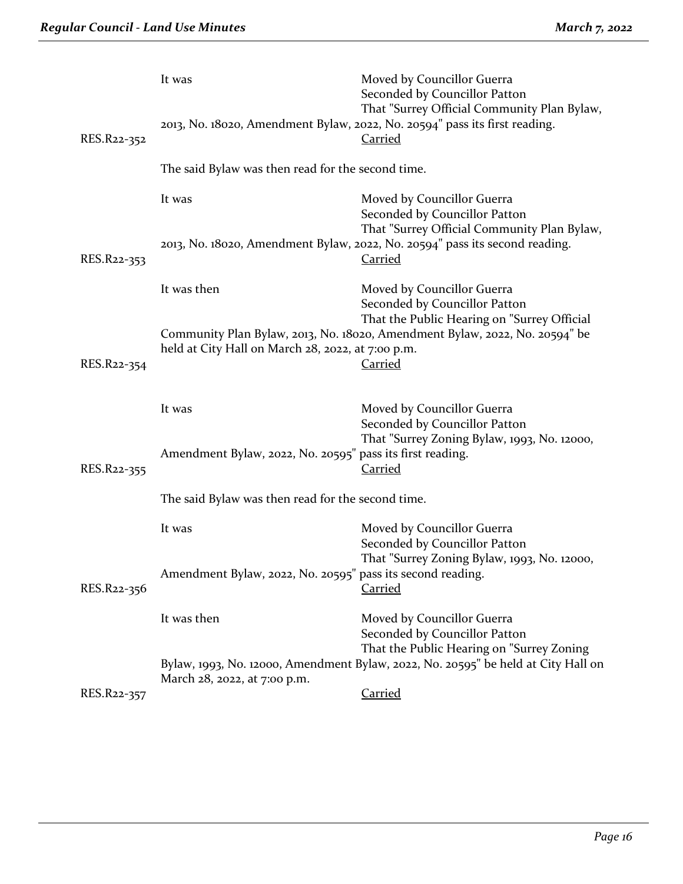|             | It was                                                     | Moved by Councillor Guerra<br>Seconded by Councillor Patton<br>That "Surrey Official Community Plan Bylaw,<br>2013, No. 18020, Amendment Bylaw, 2022, No. 20594" pass its first reading.<br><b>Carried</b> |  |
|-------------|------------------------------------------------------------|------------------------------------------------------------------------------------------------------------------------------------------------------------------------------------------------------------|--|
| RES.R22-352 | The said Bylaw was then read for the second time.          |                                                                                                                                                                                                            |  |
|             | It was                                                     | Moved by Councillor Guerra<br>Seconded by Councillor Patton                                                                                                                                                |  |
| RES.R22-353 |                                                            | That "Surrey Official Community Plan Bylaw,<br>2013, No. 18020, Amendment Bylaw, 2022, No. 20594" pass its second reading.<br><b>Carried</b>                                                               |  |
|             | It was then                                                | Moved by Councillor Guerra<br>Seconded by Councillor Patton                                                                                                                                                |  |
| RES.R22-354 | held at City Hall on March 28, 2022, at 7:00 p.m.          | That the Public Hearing on "Surrey Official<br>Community Plan Bylaw, 2013, No. 18020, Amendment Bylaw, 2022, No. 20594" be<br><b>Carried</b>                                                               |  |
|             | It was                                                     | Moved by Councillor Guerra<br>Seconded by Councillor Patton                                                                                                                                                |  |
| RES.R22-355 | Amendment Bylaw, 2022, No. 20595" pass its first reading.  | That "Surrey Zoning Bylaw, 1993, No. 12000,<br><b>Carried</b>                                                                                                                                              |  |
|             | The said Bylaw was then read for the second time.          |                                                                                                                                                                                                            |  |
|             | It was                                                     | Moved by Councillor Guerra<br>Seconded by Councillor Patton                                                                                                                                                |  |
| RES.R22-356 | Amendment Bylaw, 2022, No. 20595" pass its second reading. | That "Surrey Zoning Bylaw, 1993, No. 12000,<br><b>Carried</b>                                                                                                                                              |  |
|             | It was then                                                | Moved by Councillor Guerra<br>Seconded by Councillor Patton                                                                                                                                                |  |
|             | March 28, 2022, at 7:00 p.m.                               | That the Public Hearing on "Surrey Zoning<br>Bylaw, 1993, No. 12000, Amendment Bylaw, 2022, No. 20595" be held at City Hall on                                                                             |  |
| RES.R22-357 |                                                            | Carried                                                                                                                                                                                                    |  |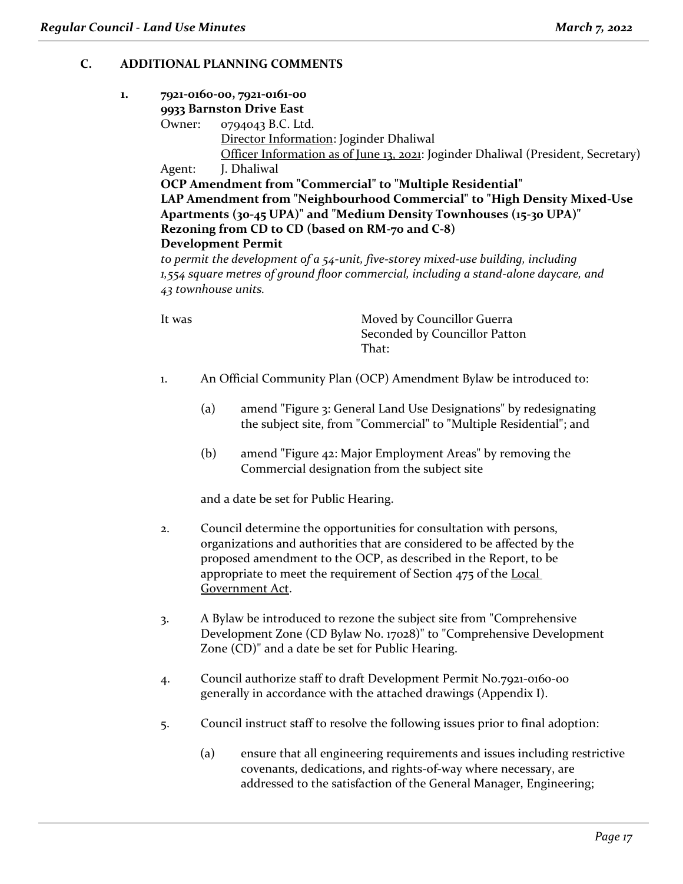# **C. ADDITIONAL PLANNING COMMENTS**

#### **1. 7921-0160-00, 7921-0161-00 9933 Barnston Drive East**

Owner: 0794043 B.C. Ltd.

Director Information: Joginder Dhaliwal

Officer Information as of June 13, 2021: Joginder Dhaliwal (President, Secretary) Agent: J. Dhaliwal

**OCP Amendment from "Commercial" to "Multiple Residential" LAP Amendment from "Neighbourhood Commercial" to "High Density Mixed-Use Apartments (30-45 UPA)" and "Medium Density Townhouses (15-30 UPA)" Rezoning from CD to CD (based on RM-70 and C-8) Development Permit**

to permit the development of a 54-unit, five-storey mixed-use building, including *1,554 square metres of ground floor commercial, including a stand-alone daycare, and 43 townhouse units.*

It was **Moved by Councillor Guerra** Seconded by Councillor Patton That:

- 1. An Official Community Plan (OCP) Amendment Bylaw be introduced to:
	- (a) amend "Figure 3: General Land Use Designations" by redesignating the subject site, from "Commercial" to "Multiple Residential"; and
	- (b) amend "Figure 42: Major Employment Areas" by removing the Commercial designation from the subject site

and a date be set for Public Hearing.

- 2. Council determine the opportunities for consultation with persons, organizations and authorities that are considered to be affected by the proposed amendment to the OCP, as described in the Report, to be appropriate to meet the requirement of Section 475 of the Local Government Act.
- 3. A Bylaw be introduced to rezone the subject site from "Comprehensive Development Zone (CD Bylaw No. 17028)" to "Comprehensive Development Zone (CD)" and a date be set for Public Hearing.
- 4. Council authorize staff to draft Development Permit No.7921-0160-00 generally in accordance with the attached drawings (Appendix I).
- 5. Council instruct staff to resolve the following issues prior to final adoption:
	- (a) ensure that all engineering requirements and issues including restrictive covenants, dedications, and rights-of-way where necessary, are addressed to the satisfaction of the General Manager, Engineering;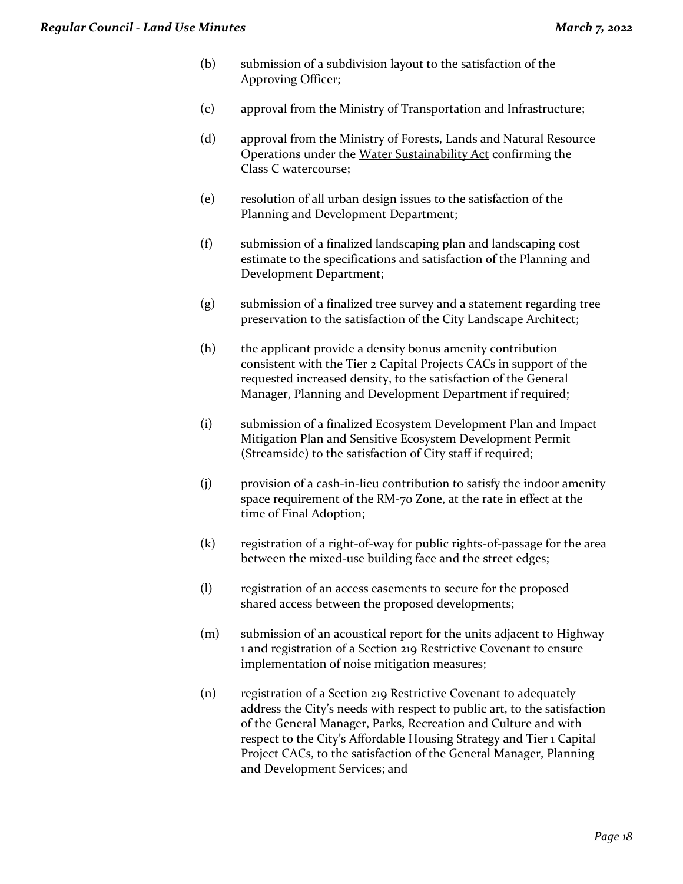- (b) submission of a subdivision layout to the satisfaction of the Approving Officer;
- (c) approval from the Ministry of Transportation and Infrastructure;
- (d) approval from the Ministry of Forests, Lands and Natural Resource Operations under the Water Sustainability Act confirming the Class C watercourse;
- (e) resolution of all urban design issues to the satisfaction of the Planning and Development Department;
- (f) submission of a finalized landscaping plan and landscaping cost estimate to the specifications and satisfaction of the Planning and Development Department;
- (g) submission of a finalized tree survey and a statement regarding tree preservation to the satisfaction of the City Landscape Architect;
- (h) the applicant provide a density bonus amenity contribution consistent with the Tier 2 Capital Projects CACs in support of the requested increased density, to the satisfaction of the General Manager, Planning and Development Department if required;
- (i) submission of a finalized Ecosystem Development Plan and Impact Mitigation Plan and Sensitive Ecosystem Development Permit (Streamside) to the satisfaction of City staff if required;
- (j) provision of a cash-in-lieu contribution to satisfy the indoor amenity space requirement of the RM-70 Zone, at the rate in effect at the time of Final Adoption;
- (k) registration of a right-of-way for public rights-of-passage for the area between the mixed-use building face and the street edges;
- (l) registration of an access easements to secure for the proposed shared access between the proposed developments;
- (m) submission of an acoustical report for the units adjacent to Highway 1 and registration of a Section 219 Restrictive Covenant to ensure implementation of noise mitigation measures;
- (n) registration of a Section 219 Restrictive Covenant to adequately address the City's needs with respect to public art, to the satisfaction of the General Manager, Parks, Recreation and Culture and with respect to the City's Affordable Housing Strategy and Tier 1 Capital Project CACs, to the satisfaction of the General Manager, Planning and Development Services; and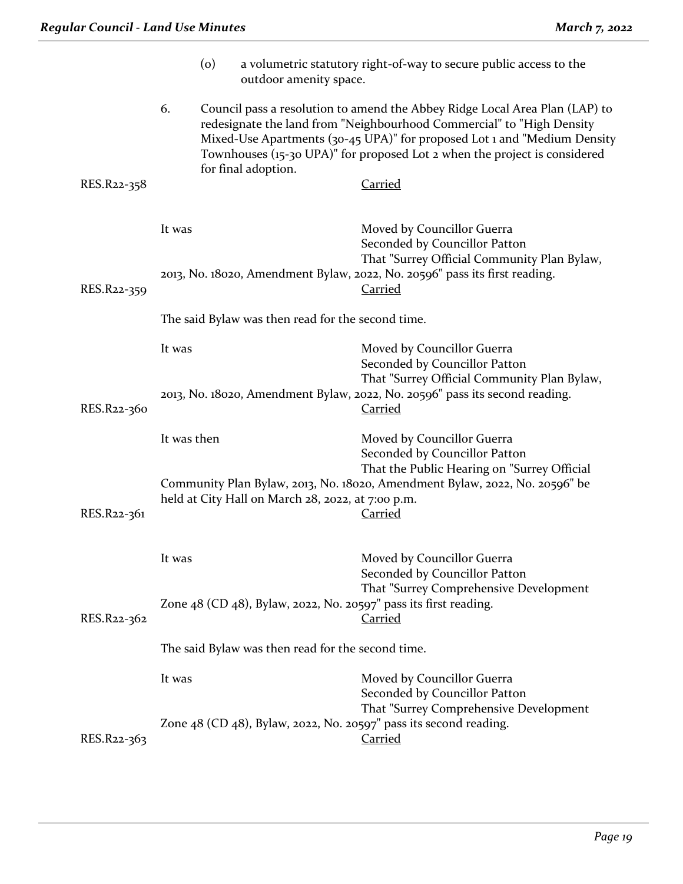|             |                                                   | $\circ$ | outdoor amenity space.                            | a volumetric statutory right-of-way to secure public access to the                                                                                                                                                                                                                                                              |
|-------------|---------------------------------------------------|---------|---------------------------------------------------|---------------------------------------------------------------------------------------------------------------------------------------------------------------------------------------------------------------------------------------------------------------------------------------------------------------------------------|
| RES.R22-358 | 6.                                                |         | for final adoption.                               | Council pass a resolution to amend the Abbey Ridge Local Area Plan (LAP) to<br>redesignate the land from "Neighbourhood Commercial" to "High Density<br>Mixed-Use Apartments (30-45 UPA)" for proposed Lot 1 and "Medium Density<br>Townhouses (15-30 UPA)" for proposed Lot 2 when the project is considered<br><b>Carried</b> |
|             | It was                                            |         |                                                   | Moved by Councillor Guerra<br>Seconded by Councillor Patton<br>That "Surrey Official Community Plan Bylaw,                                                                                                                                                                                                                      |
| RES.R22-359 |                                                   |         |                                                   | 2013, No. 18020, Amendment Bylaw, 2022, No. 20596" pass its first reading.<br><b>Carried</b>                                                                                                                                                                                                                                    |
|             | The said Bylaw was then read for the second time. |         |                                                   |                                                                                                                                                                                                                                                                                                                                 |
|             | It was                                            |         |                                                   | Moved by Councillor Guerra<br>Seconded by Councillor Patton<br>That "Surrey Official Community Plan Bylaw,                                                                                                                                                                                                                      |
| RES.R22-360 |                                                   |         |                                                   | 2013, No. 18020, Amendment Bylaw, 2022, No. 20596" pass its second reading.<br><b>Carried</b>                                                                                                                                                                                                                                   |
|             | It was then                                       |         |                                                   | Moved by Councillor Guerra<br>Seconded by Councillor Patton<br>That the Public Hearing on "Surrey Official                                                                                                                                                                                                                      |
| RES.R22-361 |                                                   |         | held at City Hall on March 28, 2022, at 7:00 p.m. | Community Plan Bylaw, 2013, No. 18020, Amendment Bylaw, 2022, No. 20596" be<br><b>Carried</b>                                                                                                                                                                                                                                   |
|             | It was                                            |         |                                                   | Moved by Councillor Guerra<br>Seconded by Councillor Patton                                                                                                                                                                                                                                                                     |
| RES.R22-362 |                                                   |         |                                                   | That "Surrey Comprehensive Development<br>Zone $48$ (CD $48$ ), Bylaw, 2022, No. 20597" pass its first reading.<br><b>Carried</b>                                                                                                                                                                                               |
|             | The said Bylaw was then read for the second time. |         |                                                   |                                                                                                                                                                                                                                                                                                                                 |
|             | It was                                            |         |                                                   | Moved by Councillor Guerra<br>Seconded by Councillor Patton                                                                                                                                                                                                                                                                     |
| RES.R22-363 |                                                   |         |                                                   | That "Surrey Comprehensive Development<br>Zone $48$ (CD $48$ ), Bylaw, 2022, No. 20597" pass its second reading.<br><b>Carried</b>                                                                                                                                                                                              |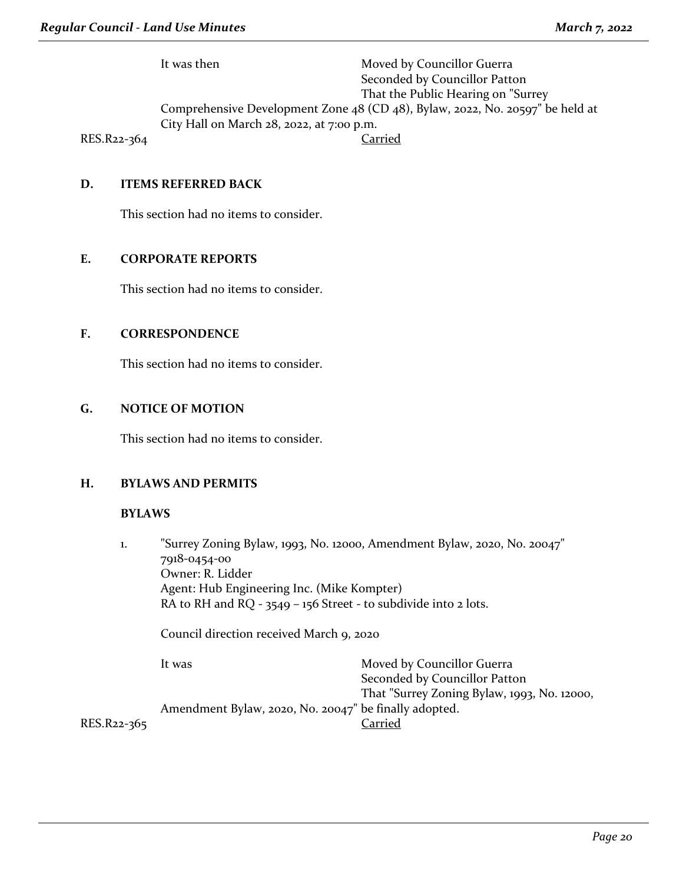It was then Moved by Councillor Guerra Seconded by Councillor Patton That the Public Hearing on "Surrey Comprehensive Development Zone 48 (CD 48), Bylaw, 2022, No. 20597" be held at City Hall on March 28, 2022, at 7:00 p.m. RES.R22-364 Carried

**D. ITEMS REFERRED BACK**

This section had no items to consider.

## **E. CORPORATE REPORTS**

This section had no items to consider.

## **F. CORRESPONDENCE**

This section had no items to consider.

## **G. NOTICE OF MOTION**

This section had no items to consider.

#### **H. BYLAWS AND PERMITS**

#### **BYLAWS**

1. "Surrey Zoning Bylaw, 1993, No. 12000, Amendment Bylaw, 2020, No. 20047" 7918-0454-00 Owner: R. Lidder Agent: Hub Engineering Inc. (Mike Kompter) RA to RH and RQ - 3549 - 156 Street - to subdivide into 2 lots. Council direction received March 9, 2020

It was **Moved by Councillor Guerra** Seconded by Councillor Patton That "Surrey Zoning Bylaw, 1993, No. 12000, Amendment Bylaw, 2020, No. 20047" be finally adopted. RES.R22-365 Carried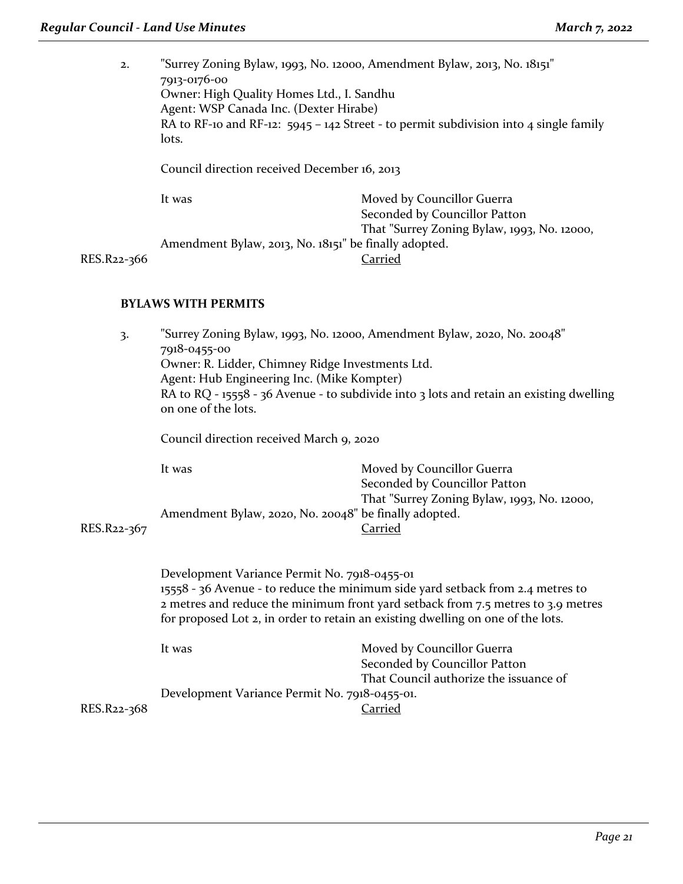2. "Surrey Zoning Bylaw, 1993, No. 12000, Amendment Bylaw, 2013, No. 18151" 7913-0176-00 Owner: High Quality Homes Ltd., I. Sandhu Agent: WSP Canada Inc. (Dexter Hirabe) RA to RF-10 and RF-12:  $5945 - 142$  Street - to permit subdivision into 4 single family lots. Council direction received December 16, 2013 It was Moved by Councillor Guerra Seconded by Councillor Patton That "Surrey Zoning Bylaw, 1993, No. 12000, Amendment Bylaw, 2013, No. 18151" be finally adopted.<br>Carried

RES.R<sub>22-3</sub>66

## **BYLAWS WITH PERMITS**

| 3.          | "Surrey Zoning Bylaw, 1993, No. 12000, Amendment Bylaw, 2020, No. 20048"<br>7918-0455-00<br>Owner: R. Lidder, Chimney Ridge Investments Ltd.<br>Agent: Hub Engineering Inc. (Mike Kompter)<br>RA to RQ - 15558 - 36 Avenue - to subdivide into 3 lots and retain an existing dwelling<br>on one of the lots.<br>Council direction received March 9, 2020 |                                                                                                                              |
|-------------|----------------------------------------------------------------------------------------------------------------------------------------------------------------------------------------------------------------------------------------------------------------------------------------------------------------------------------------------------------|------------------------------------------------------------------------------------------------------------------------------|
| RES.R22-367 | It was<br>Amendment Bylaw, 2020, No. 20048" be finally adopted.                                                                                                                                                                                                                                                                                          | Moved by Councillor Guerra<br>Seconded by Councillor Patton<br>That "Surrey Zoning Bylaw, 1993, No. 12000,<br><b>Carried</b> |
|             | Development Variance Permit No. 7918-0455-01<br>15558 - 36 Avenue - to reduce the minimum side yard setback from 2.4 metres to<br>2 metres and reduce the minimum front yard setback from 7.5 metres to 3.9 metres<br>for proposed Lot 2, in order to retain an existing dwelling on one of the lots.                                                    |                                                                                                                              |
| RES.R22-368 | It was<br>Development Variance Permit No. 7918-0455-01.                                                                                                                                                                                                                                                                                                  | Moved by Councillor Guerra<br>Seconded by Councillor Patton<br>That Council authorize the issuance of<br><u>Carried</u>      |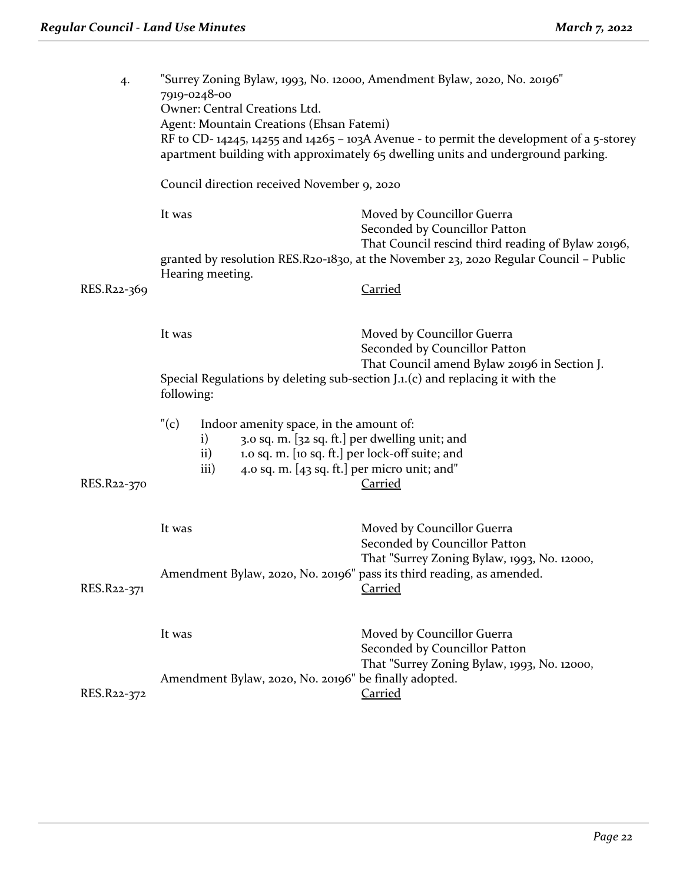| 4.          | "Surrey Zoning Bylaw, 1993, No. 12000, Amendment Bylaw, 2020, No. 20196"<br>7919-0248-00 |                                                                                                                                             |                                                                                                                                                                             |  |
|-------------|------------------------------------------------------------------------------------------|---------------------------------------------------------------------------------------------------------------------------------------------|-----------------------------------------------------------------------------------------------------------------------------------------------------------------------------|--|
|             |                                                                                          | Owner: Central Creations Ltd.                                                                                                               |                                                                                                                                                                             |  |
|             |                                                                                          | Agent: Mountain Creations (Ehsan Fatemi)                                                                                                    |                                                                                                                                                                             |  |
|             |                                                                                          |                                                                                                                                             | RF to CD-14245, 14255 and 14265 - 103A Avenue - to permit the development of a 5-storey<br>apartment building with approximately 65 dwelling units and underground parking. |  |
|             |                                                                                          | Council direction received November 9, 2020                                                                                                 |                                                                                                                                                                             |  |
|             | It was                                                                                   |                                                                                                                                             | Moved by Councillor Guerra<br>Seconded by Councillor Patton<br>That Council rescind third reading of Bylaw 20196,                                                           |  |
|             |                                                                                          |                                                                                                                                             | granted by resolution RES.R20-1830, at the November 23, 2020 Regular Council - Public                                                                                       |  |
| RES.R22-369 |                                                                                          | Hearing meeting.                                                                                                                            | <b>Carried</b>                                                                                                                                                              |  |
|             | It was                                                                                   |                                                                                                                                             | Moved by Councillor Guerra<br>Seconded by Councillor Patton                                                                                                                 |  |
|             |                                                                                          | That Council amend Bylaw 20196 in Section J.<br>Special Regulations by deleting sub-section J.1.(c) and replacing it with the<br>following: |                                                                                                                                                                             |  |
|             | "(c)                                                                                     | Indoor amenity space, in the amount of:                                                                                                     |                                                                                                                                                                             |  |
|             |                                                                                          | $\mathbf{i}$                                                                                                                                | 3.0 sq. m. [32 sq. ft.] per dwelling unit; and                                                                                                                              |  |
|             | 1.0 sq. m. [10 sq. ft.] per lock-off suite; and<br>$\mathbf{ii}$                         |                                                                                                                                             |                                                                                                                                                                             |  |
|             |                                                                                          | iii)                                                                                                                                        | 4.0 sq. m. [43 sq. ft.] per micro unit; and"                                                                                                                                |  |
| RES.R22-370 |                                                                                          |                                                                                                                                             | <b>Carried</b>                                                                                                                                                              |  |
|             | It was                                                                                   |                                                                                                                                             | Moved by Councillor Guerra<br>Seconded by Councillor Patton                                                                                                                 |  |
| RES.R22-371 |                                                                                          |                                                                                                                                             | That "Surrey Zoning Bylaw, 1993, No. 12000,<br>Amendment Bylaw, 2020, No. 20196" pass its third reading, as amended.<br><b>Carried</b>                                      |  |
|             | It was                                                                                   |                                                                                                                                             | Moved by Councillor Guerra<br>Seconded by Councillor Patton                                                                                                                 |  |
|             |                                                                                          | That "Surrey Zoning Bylaw, 1993, No. 12000,<br>Amendment Bylaw, 2020, No. 20196" be finally adopted.                                        |                                                                                                                                                                             |  |
| RES.R22-372 |                                                                                          |                                                                                                                                             | <b>Carried</b>                                                                                                                                                              |  |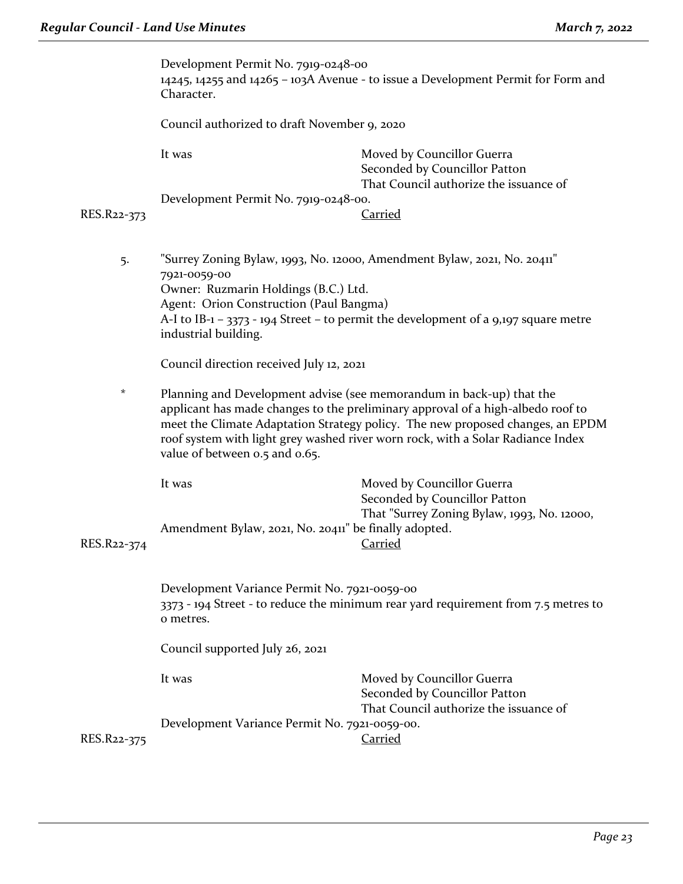|                                                                                                | Development Permit No. 7919-0248-00<br>Character.                                                                                                                                                                                                                                                                                                              | 14245, 14255 and 14265 - 103A Avenue - to issue a Development Permit for Form and                     |  |
|------------------------------------------------------------------------------------------------|----------------------------------------------------------------------------------------------------------------------------------------------------------------------------------------------------------------------------------------------------------------------------------------------------------------------------------------------------------------|-------------------------------------------------------------------------------------------------------|--|
|                                                                                                |                                                                                                                                                                                                                                                                                                                                                                | Council authorized to draft November 9, 2020                                                          |  |
|                                                                                                | It was                                                                                                                                                                                                                                                                                                                                                         | Moved by Councillor Guerra<br>Seconded by Councillor Patton<br>That Council authorize the issuance of |  |
|                                                                                                | Development Permit No. 7919-0248-00.                                                                                                                                                                                                                                                                                                                           |                                                                                                       |  |
| RES.R22-373                                                                                    |                                                                                                                                                                                                                                                                                                                                                                | Carried                                                                                               |  |
| "Surrey Zoning Bylaw, 1993, No. 12000, Amendment Bylaw, 2021, No. 20411"<br>5.<br>7921-0059-00 |                                                                                                                                                                                                                                                                                                                                                                |                                                                                                       |  |
|                                                                                                | Owner: Ruzmarin Holdings (B.C.) Ltd.                                                                                                                                                                                                                                                                                                                           |                                                                                                       |  |
|                                                                                                | Agent: Orion Construction (Paul Bangma)<br>A-I to IB-1 - 3373 - 194 Street - to permit the development of a 9,197 square metre<br>industrial building.                                                                                                                                                                                                         |                                                                                                       |  |
|                                                                                                | Council direction received July 12, 2021                                                                                                                                                                                                                                                                                                                       |                                                                                                       |  |
| $^\star$                                                                                       | Planning and Development advise (see memorandum in back-up) that the<br>applicant has made changes to the preliminary approval of a high-albedo roof to<br>meet the Climate Adaptation Strategy policy. The new proposed changes, an EPDM<br>roof system with light grey washed river worn rock, with a Solar Radiance Index<br>value of between 0.5 and 0.65. |                                                                                                       |  |
|                                                                                                | It was                                                                                                                                                                                                                                                                                                                                                         | Moved by Councillor Guerra<br>Seconded by Councillor Patton                                           |  |
| RES.R22-374                                                                                    | Amendment Bylaw, 2021, No. 20411" be finally adopted.                                                                                                                                                                                                                                                                                                          | That "Surrey Zoning Bylaw, 1993, No. 12000,<br><b>Carried</b>                                         |  |
|                                                                                                | Development Variance Permit No. 7921-0059-00<br>3373 - 194 Street - to reduce the minimum rear yard requirement from 7.5 metres to<br>o metres.                                                                                                                                                                                                                |                                                                                                       |  |
|                                                                                                | Council supported July 26, 2021                                                                                                                                                                                                                                                                                                                                |                                                                                                       |  |
|                                                                                                | It was                                                                                                                                                                                                                                                                                                                                                         | Moved by Councillor Guerra<br>Seconded by Councillor Patton<br>That Council authorize the issuance of |  |
| RES.R22-375                                                                                    | Development Variance Permit No. 7921-0059-00.                                                                                                                                                                                                                                                                                                                  | Carried                                                                                               |  |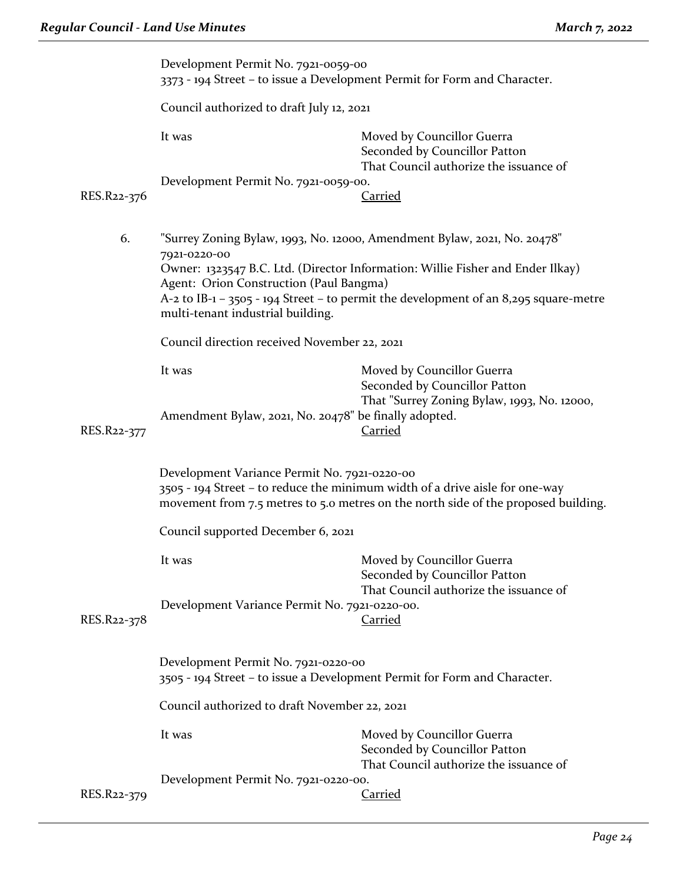|                                                                                                | Development Permit No. 7921-0059-00<br>3373 - 194 Street - to issue a Development Permit for Form and Character.                                                                                                   |                                                                                                       |
|------------------------------------------------------------------------------------------------|--------------------------------------------------------------------------------------------------------------------------------------------------------------------------------------------------------------------|-------------------------------------------------------------------------------------------------------|
|                                                                                                | Council authorized to draft July 12, 2021                                                                                                                                                                          |                                                                                                       |
|                                                                                                | It was                                                                                                                                                                                                             | Moved by Councillor Guerra<br>Seconded by Councillor Patton<br>That Council authorize the issuance of |
|                                                                                                | Development Permit No. 7921-0059-00.                                                                                                                                                                               |                                                                                                       |
| RES.R22-376                                                                                    |                                                                                                                                                                                                                    | <b>Carried</b>                                                                                        |
| 6.<br>"Surrey Zoning Bylaw, 1993, No. 12000, Amendment Bylaw, 2021, No. 20478"<br>7921-0220-00 |                                                                                                                                                                                                                    |                                                                                                       |
|                                                                                                |                                                                                                                                                                                                                    | Owner: 1323547 B.C. Ltd. (Director Information: Willie Fisher and Ender Ilkay)                        |
|                                                                                                | Agent: Orion Construction (Paul Bangma)<br>$A$ -2 to IB-1 – 3505 - 194 Street – to permit the development of an 8,295 square-metre<br>multi-tenant industrial building.                                            |                                                                                                       |
|                                                                                                | Council direction received November 22, 2021                                                                                                                                                                       |                                                                                                       |
|                                                                                                | It was                                                                                                                                                                                                             | Moved by Councillor Guerra<br>Seconded by Councillor Patton                                           |
| RES.R22-377                                                                                    | Amendment Bylaw, 2021, No. 20478" be finally adopted.                                                                                                                                                              | That "Surrey Zoning Bylaw, 1993, No. 12000,<br><b>Carried</b>                                         |
|                                                                                                | Development Variance Permit No. 7921-0220-00<br>3505 - 194 Street – to reduce the minimum width of a drive aisle for one-way<br>movement from 7.5 metres to 5.0 metres on the north side of the proposed building. |                                                                                                       |
|                                                                                                | Council supported December 6, 2021                                                                                                                                                                                 |                                                                                                       |
|                                                                                                | It was                                                                                                                                                                                                             | Moved by Councillor Guerra<br>Seconded by Councillor Patton<br>That Council authorize the issuance of |
| RES.R22-378                                                                                    | Development Variance Permit No. 7921-0220-00.                                                                                                                                                                      | <u>Carried</u>                                                                                        |
|                                                                                                | Development Permit No. 7921-0220-00<br>3505 - 194 Street - to issue a Development Permit for Form and Character.                                                                                                   |                                                                                                       |
|                                                                                                | Council authorized to draft November 22, 2021                                                                                                                                                                      |                                                                                                       |
|                                                                                                | It was                                                                                                                                                                                                             | Moved by Councillor Guerra<br>Seconded by Councillor Patton<br>That Council authorize the issuance of |
| RES.R22-379                                                                                    | Development Permit No. 7921-0220-00.                                                                                                                                                                               | <b>Carried</b>                                                                                        |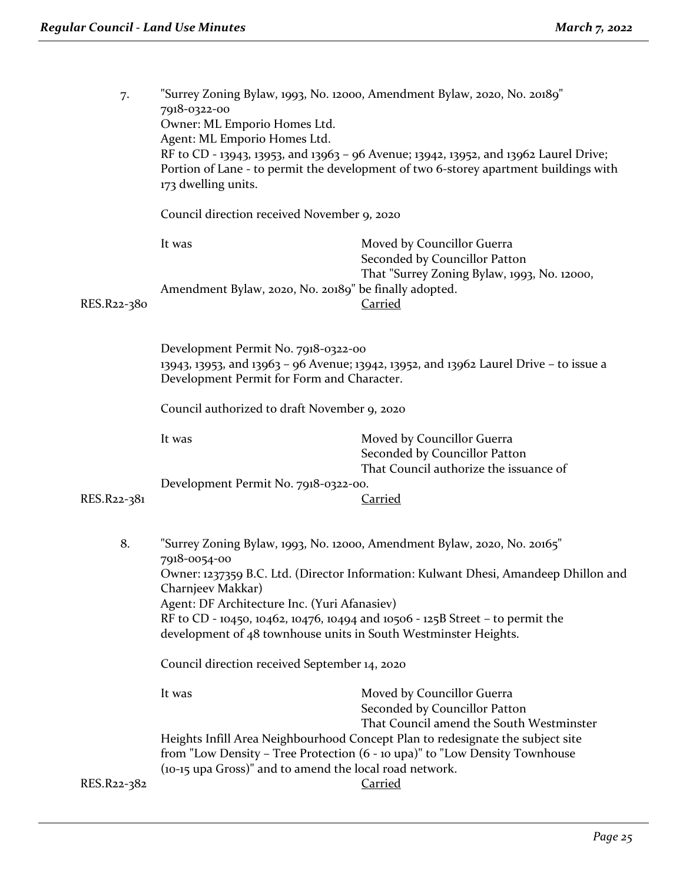| 7.                                                                                                                                                                          | "Surrey Zoning Bylaw, 1993, No. 12000, Amendment Bylaw, 2020, No. 20189"<br>7918-0322-00<br>Owner: ML Emporio Homes Ltd.<br>Agent: ML Emporio Homes Ltd.<br>RF to CD - 13943, 13953, and 13963 - 96 Avenue; 13942, 13952, and 13962 Laurel Drive;<br>Portion of Lane - to permit the development of two 6-storey apartment buildings with<br>173 dwelling units.                                                                                          |                                                                                                                                                                                 |
|-----------------------------------------------------------------------------------------------------------------------------------------------------------------------------|-----------------------------------------------------------------------------------------------------------------------------------------------------------------------------------------------------------------------------------------------------------------------------------------------------------------------------------------------------------------------------------------------------------------------------------------------------------|---------------------------------------------------------------------------------------------------------------------------------------------------------------------------------|
|                                                                                                                                                                             | Council direction received November 9, 2020                                                                                                                                                                                                                                                                                                                                                                                                               |                                                                                                                                                                                 |
|                                                                                                                                                                             | It was                                                                                                                                                                                                                                                                                                                                                                                                                                                    | Moved by Councillor Guerra<br>Seconded by Councillor Patton                                                                                                                     |
| RES.R22-380                                                                                                                                                                 | Amendment Bylaw, 2020, No. 20189" be finally adopted.                                                                                                                                                                                                                                                                                                                                                                                                     | That "Surrey Zoning Bylaw, 1993, No. 12000,<br><b>Carried</b>                                                                                                                   |
| Development Permit No. 7918-0322-00<br>13943, 13953, and 13963 - 96 Avenue; 13942, 13952, and 13962 Laurel Drive - to issue a<br>Development Permit for Form and Character. |                                                                                                                                                                                                                                                                                                                                                                                                                                                           |                                                                                                                                                                                 |
|                                                                                                                                                                             | Council authorized to draft November 9, 2020                                                                                                                                                                                                                                                                                                                                                                                                              |                                                                                                                                                                                 |
|                                                                                                                                                                             | It was                                                                                                                                                                                                                                                                                                                                                                                                                                                    | Moved by Councillor Guerra<br>Seconded by Councillor Patton<br>That Council authorize the issuance of                                                                           |
| RES.R22-381                                                                                                                                                                 | Development Permit No. 7918-0322-00.                                                                                                                                                                                                                                                                                                                                                                                                                      | <b>Carried</b>                                                                                                                                                                  |
| 8.                                                                                                                                                                          | "Surrey Zoning Bylaw, 1993, No. 12000, Amendment Bylaw, 2020, No. 20165"<br>7918-0054-00<br>Owner: 1237359 B.C. Ltd. (Director Information: Kulwant Dhesi, Amandeep Dhillon and<br>Charnjeev Makkar)<br>Agent: DF Architecture Inc. (Yuri Afanasiev)<br>RF to CD - 10450, 10462, 10476, 10494 and 10506 - 125B Street - to permit the<br>development of 48 townhouse units in South Westminster Heights.<br>Council direction received September 14, 2020 |                                                                                                                                                                                 |
|                                                                                                                                                                             |                                                                                                                                                                                                                                                                                                                                                                                                                                                           |                                                                                                                                                                                 |
|                                                                                                                                                                             | It was                                                                                                                                                                                                                                                                                                                                                                                                                                                    | Moved by Councillor Guerra<br>Seconded by Councillor Patton<br>That Council amend the South Westminster                                                                         |
| RES.R22-382                                                                                                                                                                 | (10-15 upa Gross)" and to amend the local road network.                                                                                                                                                                                                                                                                                                                                                                                                   | Heights Infill Area Neighbourhood Concept Plan to redesignate the subject site<br>from "Low Density - Tree Protection (6 - 10 upa)" to "Low Density Townhouse<br><b>Carried</b> |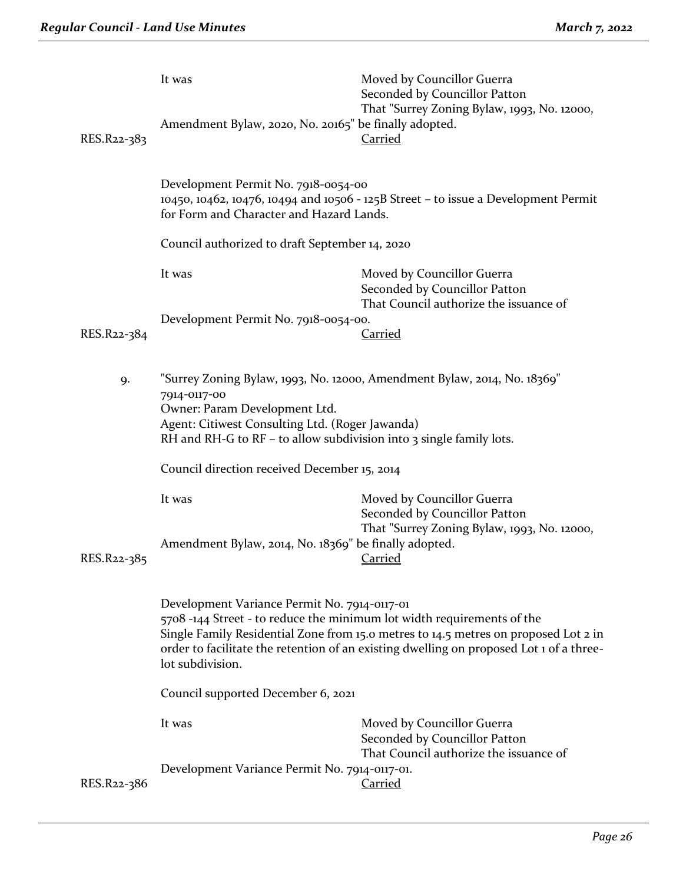| RES.R22-383 | It was<br>Amendment Bylaw, 2020, No. 20165" be finally adopted.                                                                                                                                                                                                                                                             | Moved by Councillor Guerra<br>Seconded by Councillor Patton<br>That "Surrey Zoning Bylaw, 1993, No. 12000,<br><b>Carried</b> |  |
|-------------|-----------------------------------------------------------------------------------------------------------------------------------------------------------------------------------------------------------------------------------------------------------------------------------------------------------------------------|------------------------------------------------------------------------------------------------------------------------------|--|
|             | Development Permit No. 7918-0054-00<br>10450, 10462, 10476, 10494 and 10506 - 125B Street - to issue a Development Permit<br>for Form and Character and Hazard Lands.                                                                                                                                                       |                                                                                                                              |  |
|             | Council authorized to draft September 14, 2020                                                                                                                                                                                                                                                                              |                                                                                                                              |  |
|             | It was                                                                                                                                                                                                                                                                                                                      | Moved by Councillor Guerra<br>Seconded by Councillor Patton<br>That Council authorize the issuance of                        |  |
| RES.R22-384 | Development Permit No. 7918-0054-00.                                                                                                                                                                                                                                                                                        | <u>Carried</u>                                                                                                               |  |
| 9.          | "Surrey Zoning Bylaw, 1993, No. 12000, Amendment Bylaw, 2014, No. 18369"<br>7914-0117-00<br>Owner: Param Development Ltd.<br>Agent: Citiwest Consulting Ltd. (Roger Jawanda)<br>RH and RH-G to RF - to allow subdivision into 3 single family lots.                                                                         |                                                                                                                              |  |
|             | Council direction received December 15, 2014                                                                                                                                                                                                                                                                                |                                                                                                                              |  |
| RES.R22-385 | It was<br>Amendment Bylaw, 2014, No. 18369" be finally adopted.                                                                                                                                                                                                                                                             | Moved by Councillor Guerra<br>Seconded by Councillor Patton<br>That "Surrey Zoning Bylaw, 1993, No. 12000,<br><b>Carried</b> |  |
|             | Development Variance Permit No. 7914-0117-01<br>5708-144 Street - to reduce the minimum lot width requirements of the<br>Single Family Residential Zone from 15.0 metres to 14.5 metres on proposed Lot 2 in<br>order to facilitate the retention of an existing dwelling on proposed Lot 1 of a three-<br>lot subdivision. |                                                                                                                              |  |
|             | Council supported December 6, 2021                                                                                                                                                                                                                                                                                          |                                                                                                                              |  |
|             | It was                                                                                                                                                                                                                                                                                                                      | Moved by Councillor Guerra<br>Seconded by Councillor Patton<br>That Council authorize the issuance of                        |  |
| RES.R22-386 | Development Variance Permit No. 7914-0117-01.                                                                                                                                                                                                                                                                               | <b>Carried</b>                                                                                                               |  |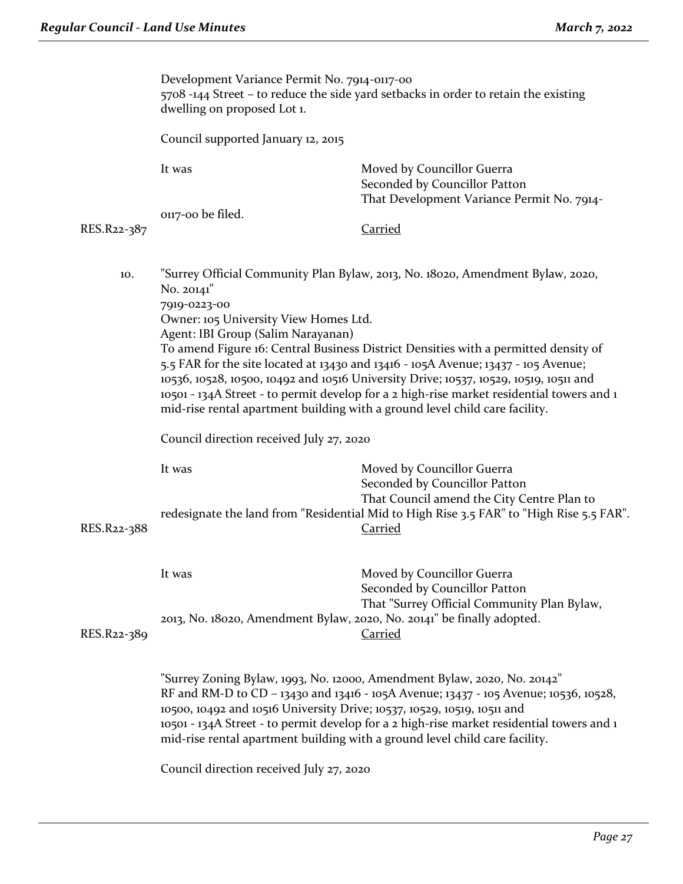|             | Development Variance Permit No. 7914-0117-00<br>5708 -144 Street – to reduce the side yard setbacks in order to retain the existing<br>dwelling on proposed Lot 1.                                                                                                                                                                                                                                                                                                                                                                                                                                                                                                                        |                                                                                                           |
|-------------|-------------------------------------------------------------------------------------------------------------------------------------------------------------------------------------------------------------------------------------------------------------------------------------------------------------------------------------------------------------------------------------------------------------------------------------------------------------------------------------------------------------------------------------------------------------------------------------------------------------------------------------------------------------------------------------------|-----------------------------------------------------------------------------------------------------------|
|             | Council supported January 12, 2015                                                                                                                                                                                                                                                                                                                                                                                                                                                                                                                                                                                                                                                        |                                                                                                           |
|             | It was                                                                                                                                                                                                                                                                                                                                                                                                                                                                                                                                                                                                                                                                                    | Moved by Councillor Guerra<br>Seconded by Councillor Patton<br>That Development Variance Permit No. 7914- |
|             | on7-oo be filed.                                                                                                                                                                                                                                                                                                                                                                                                                                                                                                                                                                                                                                                                          |                                                                                                           |
| RES.R22-387 |                                                                                                                                                                                                                                                                                                                                                                                                                                                                                                                                                                                                                                                                                           | <b>Carried</b>                                                                                            |
| 10.         | "Surrey Official Community Plan Bylaw, 2013, No. 18020, Amendment Bylaw, 2020,<br>No. 20141"<br>7919-0223-00<br>Owner: 105 University View Homes Ltd.<br>Agent: IBI Group (Salim Narayanan)<br>To amend Figure 16: Central Business District Densities with a permitted density of<br>5.5 FAR for the site located at 13430 and 13416 - 105A Avenue; 13437 - 105 Avenue;<br>10536, 10528, 10500, 10492 and 10516 University Drive; 10537, 10529, 10519, 10511 and<br>10501 - 134A Street - to permit develop for a 2 high-rise market residential towers and 1<br>mid-rise rental apartment building with a ground level child care facility.<br>Council direction received July 27, 2020 |                                                                                                           |
|             |                                                                                                                                                                                                                                                                                                                                                                                                                                                                                                                                                                                                                                                                                           |                                                                                                           |
|             |                                                                                                                                                                                                                                                                                                                                                                                                                                                                                                                                                                                                                                                                                           |                                                                                                           |
|             | It was                                                                                                                                                                                                                                                                                                                                                                                                                                                                                                                                                                                                                                                                                    | Moved by Councillor Guerra<br>Seconded by Councillor Patton                                               |
| RES.R22-388 | That Council amend the City Centre Plan to<br>redesignate the land from "Residential Mid to High Rise 3.5 FAR" to "High Rise 5.5 FAR".<br>Carried                                                                                                                                                                                                                                                                                                                                                                                                                                                                                                                                         |                                                                                                           |
|             | It was                                                                                                                                                                                                                                                                                                                                                                                                                                                                                                                                                                                                                                                                                    | Moved by Councillor Guerra<br>Seconded by Councillor Patton                                               |
| RES.R22-389 | That "Surrey Official Community Plan Bylaw,<br>2013, No. 18020, Amendment Bylaw, 2020, No. 20141" be finally adopted.<br><b>Carried</b>                                                                                                                                                                                                                                                                                                                                                                                                                                                                                                                                                   |                                                                                                           |
|             | "Surrey Zoning Bylaw, 1993, No. 12000, Amendment Bylaw, 2020, No. 20142"<br>RF and RM-D to CD - 13430 and 13416 - 105A Avenue; 13437 - 105 Avenue; 10536, 10528,<br>10500, 10492 and 10516 University Drive; 10537, 10529, 10519, 10511 and<br>10501 - 134A Street - to permit develop for a 2 high-rise market residential towers and 1<br>mid-rise rental apartment building with a ground level child care facility.                                                                                                                                                                                                                                                                   |                                                                                                           |
|             | Council direction received July 27, 2020                                                                                                                                                                                                                                                                                                                                                                                                                                                                                                                                                                                                                                                  |                                                                                                           |

*Page 27*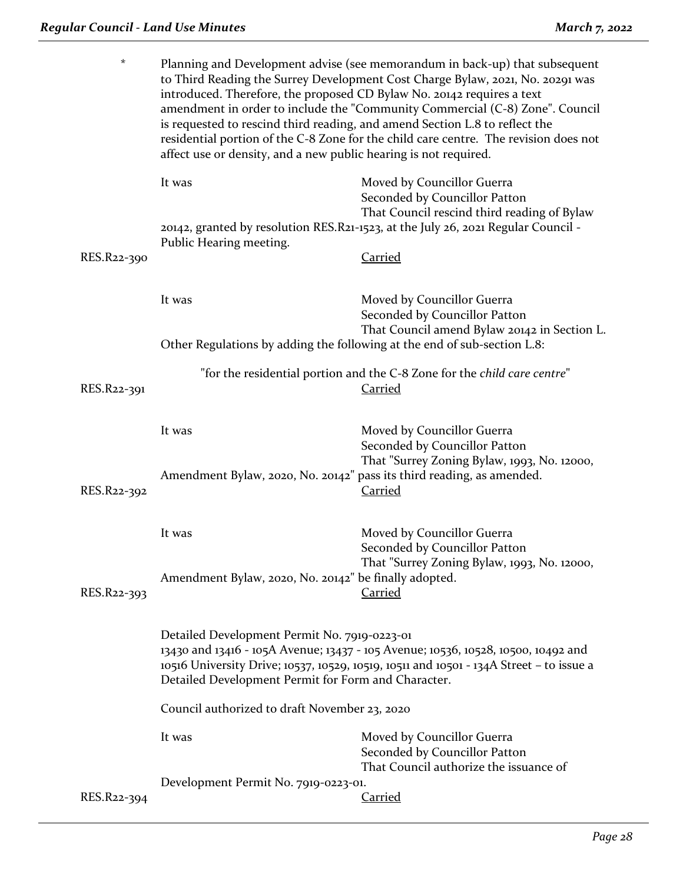| $^\star$    | Planning and Development advise (see memorandum in back-up) that subsequent<br>to Third Reading the Surrey Development Cost Charge Bylaw, 2021, No. 20291 was<br>introduced. Therefore, the proposed CD Bylaw No. 20142 requires a text<br>amendment in order to include the "Community Commercial (C-8) Zone". Council<br>is requested to rescind third reading, and amend Section L.8 to reflect the<br>residential portion of the C-8 Zone for the child care centre. The revision does not<br>affect use or density, and a new public hearing is not required. |                                                                                                                                                                                                 |
|-------------|--------------------------------------------------------------------------------------------------------------------------------------------------------------------------------------------------------------------------------------------------------------------------------------------------------------------------------------------------------------------------------------------------------------------------------------------------------------------------------------------------------------------------------------------------------------------|-------------------------------------------------------------------------------------------------------------------------------------------------------------------------------------------------|
|             | It was                                                                                                                                                                                                                                                                                                                                                                                                                                                                                                                                                             | Moved by Councillor Guerra<br>Seconded by Councillor Patton<br>That Council rescind third reading of Bylaw<br>20142, granted by resolution RES.R21-1523, at the July 26, 2021 Regular Council - |
| RES.R22-390 | Public Hearing meeting.                                                                                                                                                                                                                                                                                                                                                                                                                                                                                                                                            | <b>Carried</b>                                                                                                                                                                                  |
|             | It was                                                                                                                                                                                                                                                                                                                                                                                                                                                                                                                                                             | Moved by Councillor Guerra<br>Seconded by Councillor Patton<br>That Council amend Bylaw 20142 in Section L.                                                                                     |
|             | Other Regulations by adding the following at the end of sub-section L.8:                                                                                                                                                                                                                                                                                                                                                                                                                                                                                           |                                                                                                                                                                                                 |
| RES.R22-391 | "for the residential portion and the C-8 Zone for the child care centre"<br><b>Carried</b>                                                                                                                                                                                                                                                                                                                                                                                                                                                                         |                                                                                                                                                                                                 |
|             | It was                                                                                                                                                                                                                                                                                                                                                                                                                                                                                                                                                             | Moved by Councillor Guerra<br>Seconded by Councillor Patton                                                                                                                                     |
| RES.R22-392 | Amendment Bylaw, 2020, No. 20142" pass its third reading, as amended.                                                                                                                                                                                                                                                                                                                                                                                                                                                                                              | That "Surrey Zoning Bylaw, 1993, No. 12000,<br><u>Carried</u>                                                                                                                                   |
|             | It was                                                                                                                                                                                                                                                                                                                                                                                                                                                                                                                                                             | Moved by Councillor Guerra<br>Seconded by Councillor Patton<br>That "Surrey Zoning Bylaw, 1993, No. 12000,                                                                                      |
| RES.R22-393 | Amendment Bylaw, 2020, No. 20142" be finally adopted.                                                                                                                                                                                                                                                                                                                                                                                                                                                                                                              | <b>Carried</b>                                                                                                                                                                                  |
|             | Detailed Development Permit No. 7919-0223-01<br>13430 and 13416 - 105A Avenue; 13437 - 105 Avenue; 10536, 10528, 10500, 10492 and<br>10516 University Drive; 10537, 10529, 10519, 10511 and 10501 - 134A Street - to issue a<br>Detailed Development Permit for Form and Character.                                                                                                                                                                                                                                                                                |                                                                                                                                                                                                 |
|             | Council authorized to draft November 23, 2020                                                                                                                                                                                                                                                                                                                                                                                                                                                                                                                      |                                                                                                                                                                                                 |
|             | It was                                                                                                                                                                                                                                                                                                                                                                                                                                                                                                                                                             | Moved by Councillor Guerra<br>Seconded by Councillor Patton                                                                                                                                     |
|             | Development Permit No. 7919-0223-01.                                                                                                                                                                                                                                                                                                                                                                                                                                                                                                                               | That Council authorize the issuance of                                                                                                                                                          |
| RES.R22-394 |                                                                                                                                                                                                                                                                                                                                                                                                                                                                                                                                                                    | <b>Carried</b>                                                                                                                                                                                  |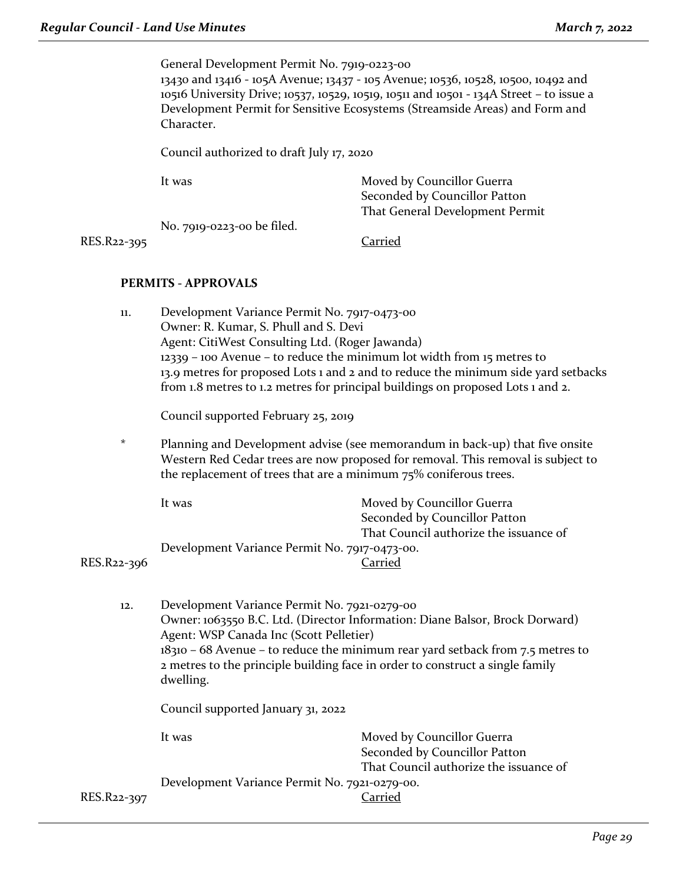General Development Permit No. 7919-0223-00

13430 and 13416 - 105A Avenue; 13437 - 105 Avenue; 10536, 10528, 10500, 10492 and 10516 University Drive; 10537, 10529, 10519, 10511 and 10501 - 134A Street – to issue a Development Permit for Sensitive Ecosystems (Streamside Areas) and Form and Character.

Council authorized to draft July 17, 2020

|             | It was                     | Moved by Councillor Guerra      |
|-------------|----------------------------|---------------------------------|
|             |                            | Seconded by Councillor Patton   |
|             |                            | That General Development Permit |
|             | No. 7919-0223-00 be filed. |                                 |
| RES.R22-395 |                            | Carried                         |

## **PERMITS - APPROVALS**

| 11.         | Development Variance Permit No. 7917-0473-00<br>Owner: R. Kumar, S. Phull and S. Devi<br>Agent: CitiWest Consulting Ltd. (Roger Jawanda)<br>12339 - 100 Avenue - to reduce the minimum lot width from 15 metres to<br>13.9 metres for proposed Lots 1 and 2 and to reduce the minimum side yard setbacks<br>from 1.8 metres to 1.2 metres for principal buildings on proposed Lots 1 and 2. |                                                                                                       |  |  |
|-------------|---------------------------------------------------------------------------------------------------------------------------------------------------------------------------------------------------------------------------------------------------------------------------------------------------------------------------------------------------------------------------------------------|-------------------------------------------------------------------------------------------------------|--|--|
|             |                                                                                                                                                                                                                                                                                                                                                                                             | Council supported February 25, 2019                                                                   |  |  |
| $^\star$    | Planning and Development advise (see memorandum in back-up) that five onsite<br>Western Red Cedar trees are now proposed for removal. This removal is subject to<br>the replacement of trees that are a minimum 75% coniferous trees.                                                                                                                                                       |                                                                                                       |  |  |
|             | It was                                                                                                                                                                                                                                                                                                                                                                                      | Moved by Councillor Guerra<br>Seconded by Councillor Patton<br>That Council authorize the issuance of |  |  |
| RES.R22-396 | Development Variance Permit No. 7917-0473-00.                                                                                                                                                                                                                                                                                                                                               | <b>Carried</b>                                                                                        |  |  |
| 12.         | Development Variance Permit No. 7921-0279-00<br>Owner: 1063550 B.C. Ltd. (Director Information: Diane Balsor, Brock Dorward)<br>Agent: WSP Canada Inc (Scott Pelletier)<br>$18310 - 68$ Avenue – to reduce the minimum rear yard setback from 7.5 metres to<br>2 metres to the principle building face in order to construct a single family<br>dwelling.                                   |                                                                                                       |  |  |
|             | Council supported January 31, 2022                                                                                                                                                                                                                                                                                                                                                          |                                                                                                       |  |  |
|             | It was                                                                                                                                                                                                                                                                                                                                                                                      | Moved by Councillor Guerra<br>Seconded by Councillor Patton<br>That Council authorize the issuance of |  |  |
| RES.R22-397 | Development Variance Permit No. 7921-0279-00.                                                                                                                                                                                                                                                                                                                                               | <b>Carried</b>                                                                                        |  |  |
|             |                                                                                                                                                                                                                                                                                                                                                                                             |                                                                                                       |  |  |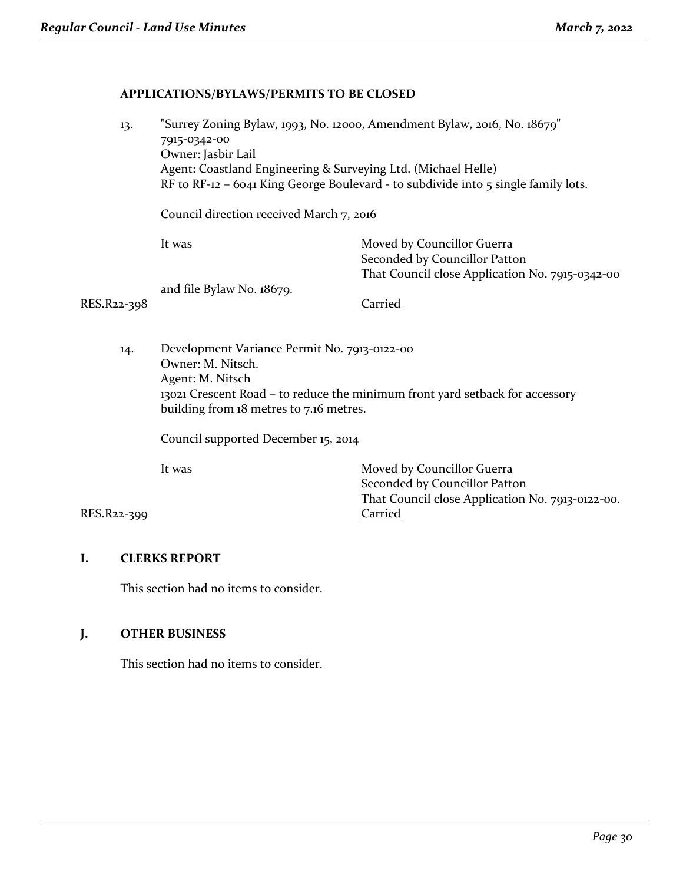## **APPLICATIONS/BYLAWS/PERMITS TO BE CLOSED**

| 13.         | "Surrey Zoning Bylaw, 1993, No. 12000, Amendment Bylaw, 2016, No. 18679"                       |                                                 |  |
|-------------|------------------------------------------------------------------------------------------------|-------------------------------------------------|--|
|             | 7915-0342-00                                                                                   |                                                 |  |
|             | Owner: Jasbir Lail                                                                             |                                                 |  |
|             | Agent: Coastland Engineering & Surveying Ltd. (Michael Helle)                                  |                                                 |  |
|             | RF to RF-12 – 6041 King George Boulevard - to subdivide into $\frac{1}{5}$ single family lots. |                                                 |  |
|             | Council direction received March 7, 2016                                                       |                                                 |  |
|             | It was                                                                                         | Moved by Councillor Guerra                      |  |
|             |                                                                                                | Seconded by Councillor Patton                   |  |
|             |                                                                                                | That Council close Application No. 7915-0342-00 |  |
|             | and file Bylaw No. 18679.                                                                      |                                                 |  |
| RES.R22-398 |                                                                                                | Carried                                         |  |
|             |                                                                                                |                                                 |  |
|             |                                                                                                |                                                 |  |

14. Development Variance Permit No. 7913-0122-00 Owner: M. Nitsch. Agent: M. Nitsch 13021 Crescent Road – to reduce the minimum front yard setback for accessory building from 18 metres to 7.16 metres.

Council supported December 15, 2014

It was Moved by Councillor Guerra Seconded by Councillor Patton That Council close Application No. 7913-0122-00.

## RES.R22-399 Carried

## **I. CLERKS REPORT**

This section had no items to consider.

## **J. OTHER BUSINESS**

This section had no items to consider.